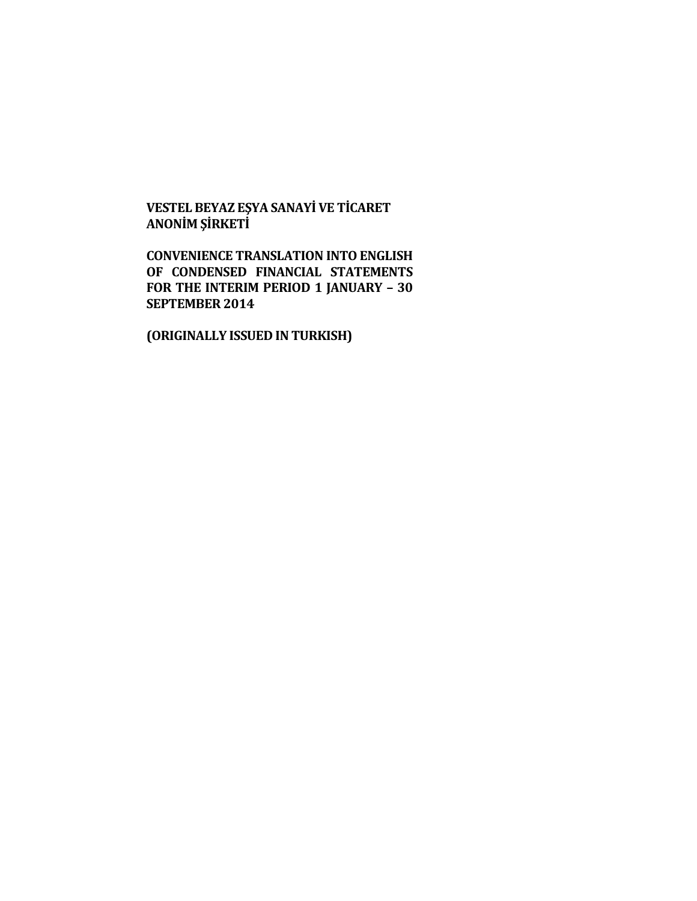# **VESTEL BEYAZ EŞYA SANAYİ VE TİCARET ANONİM ŞİRKETİ**

**CONVENIENCE TRANSLATION INTO ENGLISH OF CONDENSED FINANCIAL STATEMENTS FOR THE INTERIM PERIOD 1 JANUARY – 30 SEPTEMBER 2014**

**(ORIGINALLY ISSUED IN TURKISH)**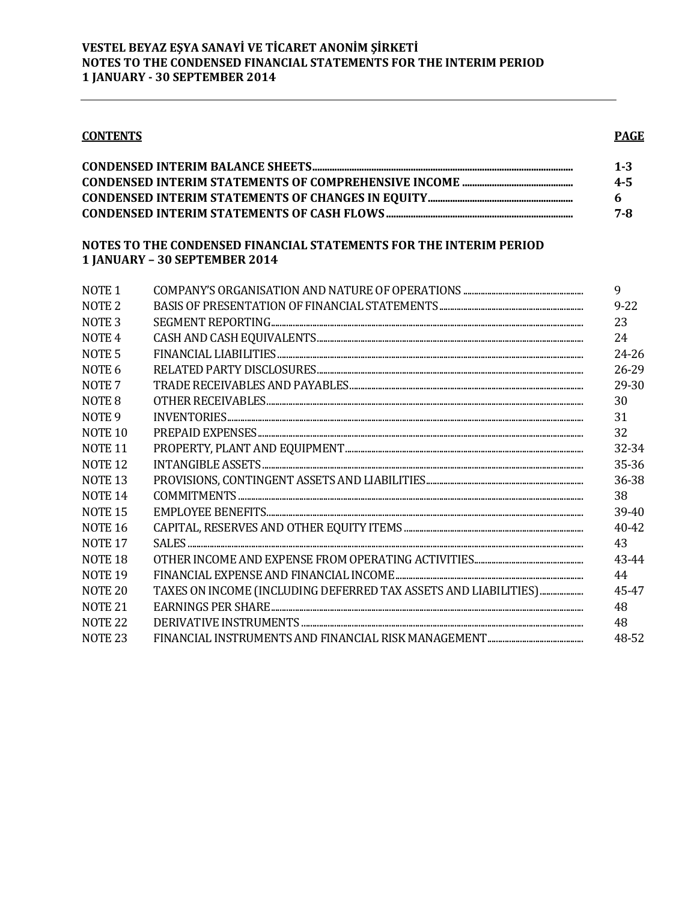| <b>CONTENTS</b>    |                                                                                                     |  |
|--------------------|-----------------------------------------------------------------------------------------------------|--|
|                    |                                                                                                     |  |
|                    | NOTES TO THE CONDENSED FINANCIAL STATEMENTS FOR THE INTERIM PERIOD<br>1 JANUARY - 30 SEPTEMBER 2014 |  |
| NOTE <sub>1</sub>  |                                                                                                     |  |
| NOTE <sub>2</sub>  |                                                                                                     |  |
| NOTE <sub>3</sub>  |                                                                                                     |  |
| NOTE <sub>4</sub>  |                                                                                                     |  |
| NOTE <sub>5</sub>  |                                                                                                     |  |
| NOTE <sub>6</sub>  |                                                                                                     |  |
| NOTE <sub>7</sub>  |                                                                                                     |  |
| NOTE <sub>8</sub>  |                                                                                                     |  |
| NOTE <sub>9</sub>  |                                                                                                     |  |
| NOTE <sub>10</sub> |                                                                                                     |  |
| NOTE <sub>11</sub> |                                                                                                     |  |
| NOTE <sub>12</sub> |                                                                                                     |  |
| NOTE <sub>13</sub> |                                                                                                     |  |
| <b>NOTE 14</b>     |                                                                                                     |  |
| NOTE <sub>15</sub> |                                                                                                     |  |
| NOTE <sub>16</sub> |                                                                                                     |  |
| NOTE <sub>17</sub> |                                                                                                     |  |
| NOTE <sub>18</sub> |                                                                                                     |  |
| NOTE <sub>19</sub> |                                                                                                     |  |
| NOTE <sub>20</sub> | TAXES ON INCOME (INCLUDING DEFERRED TAX ASSETS AND LIABILITIES)                                     |  |
| NOTE <sub>21</sub> |                                                                                                     |  |
| NOTE <sub>22</sub> |                                                                                                     |  |
| NOTE <sub>23</sub> |                                                                                                     |  |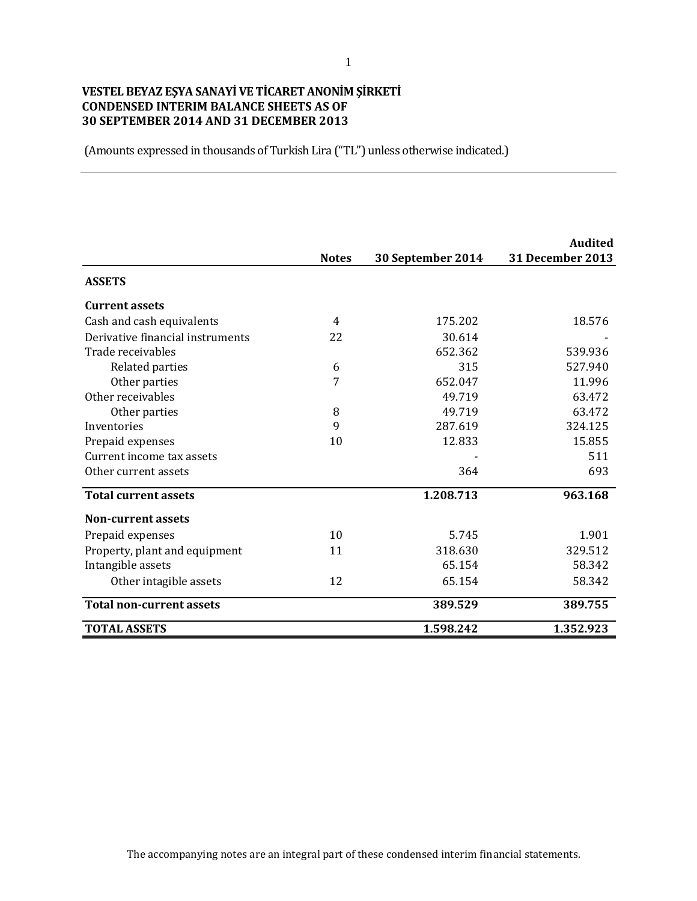### **VESTEL BEYAZ EŞYA SANAYİ VE TİCARET ANONİM ŞİRKETİ CONDENSED INTERIM BALANCE SHEETS AS OF 30 SEPTEMBER 2014 AND 31 DECEMBER 2013**

|                                  |                |                   | <b>Audited</b>   |
|----------------------------------|----------------|-------------------|------------------|
|                                  | <b>Notes</b>   | 30 September 2014 | 31 December 2013 |
| <b>ASSETS</b>                    |                |                   |                  |
| <b>Current assets</b>            |                |                   |                  |
| Cash and cash equivalents        | $\overline{4}$ | 175.202           | 18.576           |
| Derivative financial instruments | 22             | 30.614            |                  |
| Trade receivables                |                | 652.362           | 539.936          |
| Related parties                  | 6              | 315               | 527.940          |
| Other parties                    | 7              | 652.047           | 11.996           |
| Other receivables                |                | 49.719            | 63.472           |
| Other parties                    | 8              | 49.719            | 63.472           |
| Inventories                      | 9              | 287.619           | 324.125          |
| Prepaid expenses                 | 10             | 12.833            | 15.855           |
| Current income tax assets        |                |                   | 511              |
| Other current assets             |                | 364               | 693              |
| <b>Total current assets</b>      |                | 1.208.713         | 963.168          |
| <b>Non-current assets</b>        |                |                   |                  |
| Prepaid expenses                 | 10             | 5.745             | 1.901            |
| Property, plant and equipment    | 11             | 318.630           | 329.512          |
| Intangible assets                |                | 65.154            | 58.342           |
| Other intagible assets           | 12             | 65.154            | 58.342           |
| <b>Total non-current assets</b>  |                | 389.529           | 389.755          |
| <b>TOTAL ASSETS</b>              |                | 1.598.242         | 1.352.923        |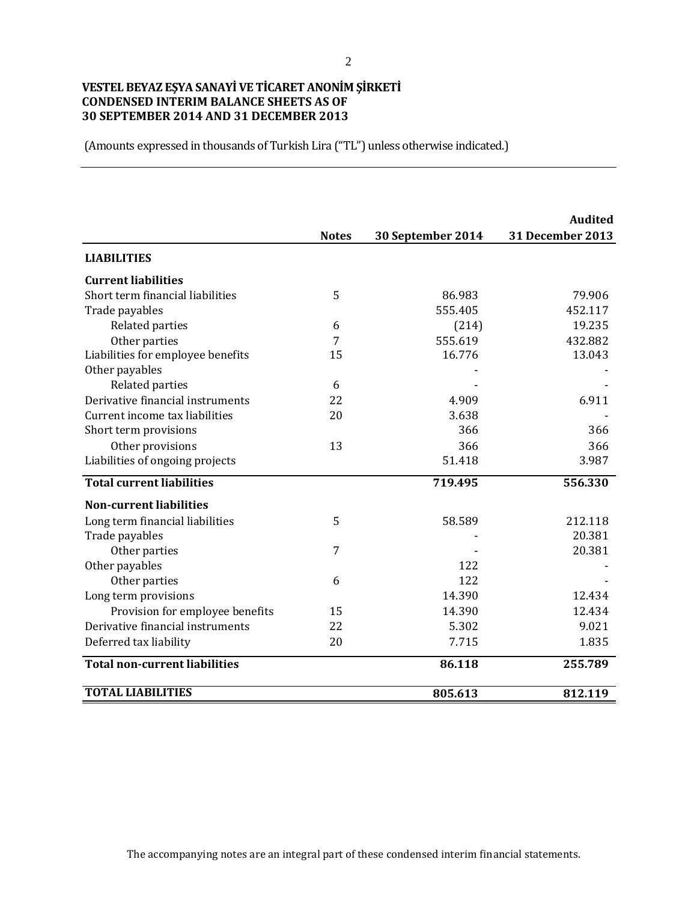### **VESTEL BEYAZ EŞYA SANAYİ VE TİCARET ANONİM ŞİRKETİ CONDENSED INTERIM BALANCE SHEETS AS OF 30 SEPTEMBER 2014 AND 31 DECEMBER 2013**

|                                      |              |                   | <b>Audited</b>   |
|--------------------------------------|--------------|-------------------|------------------|
|                                      | <b>Notes</b> | 30 September 2014 | 31 December 2013 |
| <b>LIABILITIES</b>                   |              |                   |                  |
| <b>Current liabilities</b>           |              |                   |                  |
| Short term financial liabilities     | 5            | 86.983            | 79.906           |
| Trade payables                       |              | 555.405           | 452.117          |
| Related parties                      | 6            | (214)             | 19.235           |
| Other parties                        | 7            | 555.619           | 432.882          |
| Liabilities for employee benefits    | 15           | 16.776            | 13.043           |
| Other payables                       |              |                   |                  |
| Related parties                      | 6            |                   |                  |
| Derivative financial instruments     | 22           | 4.909             | 6.911            |
| Current income tax liabilities       | 20           | 3.638             |                  |
| Short term provisions                |              | 366               | 366              |
| Other provisions                     | 13           | 366               | 366              |
| Liabilities of ongoing projects      |              | 51.418            | 3.987            |
| <b>Total current liabilities</b>     |              | 719.495           | 556.330          |
| <b>Non-current liabilities</b>       |              |                   |                  |
| Long term financial liabilities      | 5            | 58.589            | 212.118          |
| Trade payables                       |              |                   | 20.381           |
| Other parties                        | 7            |                   | 20.381           |
| Other payables                       |              | 122               |                  |
| Other parties                        | 6            | 122               |                  |
| Long term provisions                 |              | 14.390            | 12.434           |
| Provision for employee benefits      | 15           | 14.390            | 12.434           |
| Derivative financial instruments     | 22           | 5.302             | 9.021            |
| Deferred tax liability               | 20           | 7.715             | 1.835            |
| <b>Total non-current liabilities</b> |              | 86.118            | 255.789          |
| <b>TOTAL LIABILITIES</b>             |              | 805.613           | 812.119          |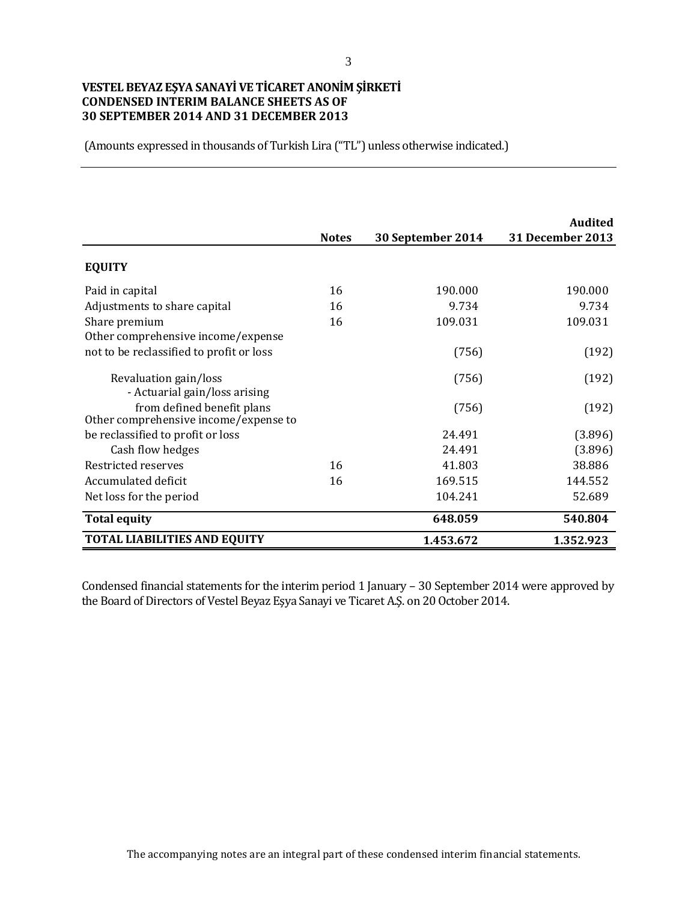### **VESTEL BEYAZ EŞYA SANAYİ VE TİCARET ANONİM ŞİRKETİ CONDENSED INTERIM BALANCE SHEETS AS OF 30 SEPTEMBER 2014 AND 31 DECEMBER 2013**

(Amounts expressed in thousands of Turkish Lira ("TL") unless otherwise indicated.)

|                                                                     | <b>Notes</b> | 30 September 2014 | <b>Audited</b><br>31 December 2013 |
|---------------------------------------------------------------------|--------------|-------------------|------------------------------------|
| <b>EQUITY</b>                                                       |              |                   |                                    |
| Paid in capital                                                     | 16           | 190.000           | 190.000                            |
| Adjustments to share capital                                        | 16           | 9.734             | 9.734                              |
| Share premium                                                       | 16           | 109.031           | 109.031                            |
| Other comprehensive income/expense                                  |              |                   |                                    |
| not to be reclassified to profit or loss                            |              | (756)             | (192)                              |
| Revaluation gain/loss<br>- Actuarial gain/loss arising              |              | (756)             | (192)                              |
| from defined benefit plans<br>Other comprehensive income/expense to |              | (756)             | (192)                              |
| be reclassified to profit or loss                                   |              | 24.491            | (3.896)                            |
| Cash flow hedges                                                    |              | 24.491            | (3.896)                            |
| Restricted reserves                                                 | 16           | 41.803            | 38.886                             |
| Accumulated deficit                                                 | 16           | 169.515           | 144.552                            |
| Net loss for the period                                             |              | 104.241           | 52.689                             |
| <b>Total equity</b>                                                 |              | 648.059           | 540.804                            |
| <b>TOTAL LIABILITIES AND EQUITY</b>                                 |              | 1.453.672         | 1.352.923                          |

Condensed financial statements for the interim period 1 January – 30 September 2014 were approved by the Board of Directors of Vestel Beyaz Eşya Sanayi ve Ticaret A.Ş. on 20 October 2014.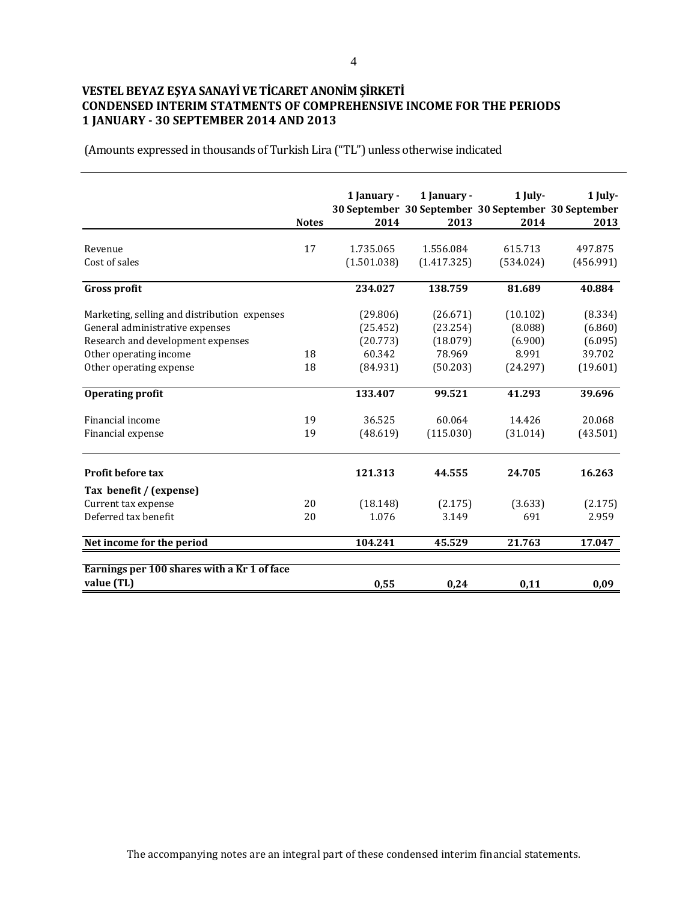## **VESTEL BEYAZ EŞYA SANAYİ VE TİCARET ANONİM ŞİRKETİ CONDENSED INTERIM STATMENTS OF COMPREHENSIVE INCOME FOR THE PERIODS 1 JANUARY - 30 SEPTEMBER 2014 AND 2013**

|                                                           | <b>Notes</b> | 1 January -<br>2014 | 1 January -<br>30 September 30 September 30 September 30 September<br>2013 | 1 July-<br>2014 | 1 July-<br>2013 |
|-----------------------------------------------------------|--------------|---------------------|----------------------------------------------------------------------------|-----------------|-----------------|
|                                                           |              |                     |                                                                            |                 |                 |
| Revenue                                                   | 17           | 1.735.065           | 1.556.084                                                                  | 615.713         | 497.875         |
| Cost of sales                                             |              | (1.501.038)         | (1.417.325)                                                                | (534.024)       | (456.991)       |
| <b>Gross profit</b>                                       |              | 234.027             | 138.759                                                                    | 81.689          | 40.884          |
| Marketing, selling and distribution expenses              |              | (29.806)            | (26.671)                                                                   | (10.102)        | (8.334)         |
| General administrative expenses                           |              | (25.452)            | (23.254)                                                                   | (8.088)         | (6.860)         |
| Research and development expenses                         |              | (20.773)            | (18.079)                                                                   | (6.900)         | (6.095)         |
| Other operating income                                    | 18           | 60.342              | 78.969                                                                     | 8.991           | 39.702          |
| Other operating expense                                   | 18           | (84.931)            | (50.203)                                                                   | (24.297)        | (19.601)        |
| <b>Operating profit</b>                                   |              | 133.407             | 99.521                                                                     | 41.293          | 39.696          |
| Financial income                                          | 19           | 36.525              | 60.064                                                                     | 14.426          | 20.068          |
| Financial expense                                         | 19           | (48.619)            | (115.030)                                                                  | (31.014)        | (43.501)        |
| Profit before tax                                         |              | 121.313             | 44.555                                                                     | 24.705          | 16.263          |
| Tax benefit / (expense)                                   |              |                     |                                                                            |                 |                 |
| Current tax expense                                       | 20           | (18.148)            | (2.175)                                                                    | (3.633)         | (2.175)         |
| Deferred tax benefit                                      | 20           | 1.076               | 3.149                                                                      | 691             | 2.959           |
| Net income for the period                                 |              | 104.241             | 45.529                                                                     | 21.763          | 17.047          |
| Earnings per 100 shares with a Kr 1 of face<br>value (TL) |              | 0,55                | 0,24                                                                       | 0,11            | 0,09            |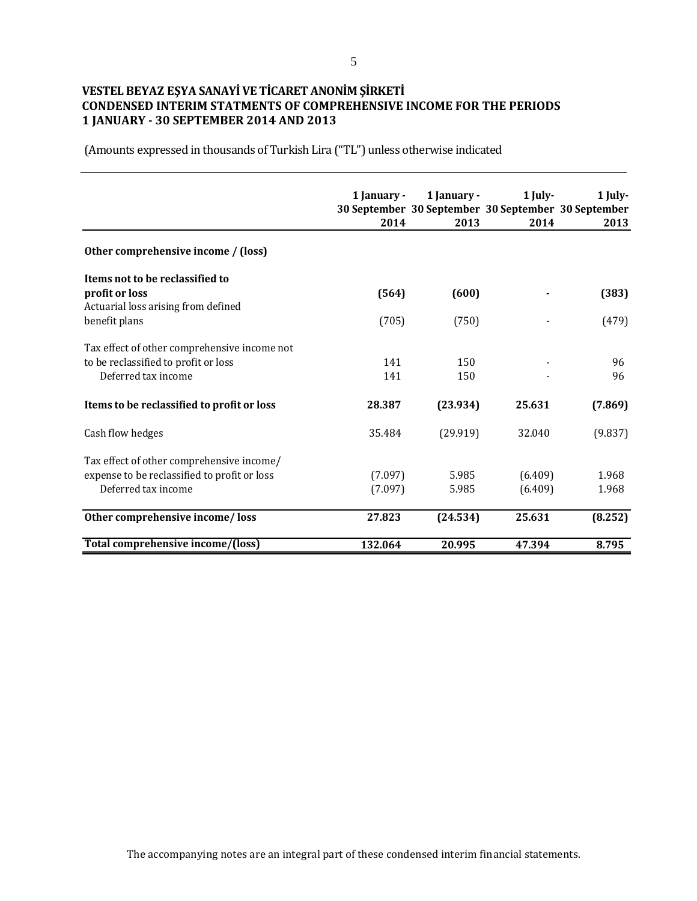### **VESTEL BEYAZ EŞYA SANAYİ VE TİCARET ANONİM ŞİRKETİ CONDENSED INTERIM STATMENTS OF COMPREHENSIVE INCOME FOR THE PERIODS 1 JANUARY - 30 SEPTEMBER 2014 AND 2013**

|                                                       | 1 January -<br>2014 | 1 January -<br>30 September 30 September 30 September 30 September<br>2013 | 1 July-<br>2014 | 1 July-<br>2013 |
|-------------------------------------------------------|---------------------|----------------------------------------------------------------------------|-----------------|-----------------|
| Other comprehensive income / (loss)                   |                     |                                                                            |                 |                 |
| Items not to be reclassified to                       |                     |                                                                            |                 |                 |
| profit or loss<br>Actuarial loss arising from defined | (564)               | (600)                                                                      |                 | (383)           |
| benefit plans                                         | (705)               | (750)                                                                      |                 | (479)           |
| Tax effect of other comprehensive income not          |                     |                                                                            |                 |                 |
| to be reclassified to profit or loss                  | 141                 | 150                                                                        |                 | 96              |
| Deferred tax income                                   | 141                 | 150                                                                        |                 | 96              |
| Items to be reclassified to profit or loss            | 28.387              | (23.934)                                                                   | 25.631          | (7.869)         |
| Cash flow hedges                                      | 35.484              | (29.919)                                                                   | 32.040          | (9.837)         |
| Tax effect of other comprehensive income/             |                     |                                                                            |                 |                 |
| expense to be reclassified to profit or loss          | (7.097)             | 5.985                                                                      | (6.409)         | 1.968           |
| Deferred tax income                                   | (7.097)             | 5.985                                                                      | (6.409)         | 1.968           |
| Other comprehensive income/loss                       | 27.823              | (24.534)                                                                   | 25.631          | (8.252)         |
| Total comprehensive income/(loss)                     | 132.064             | 20.995                                                                     | 47.394          | 8.795           |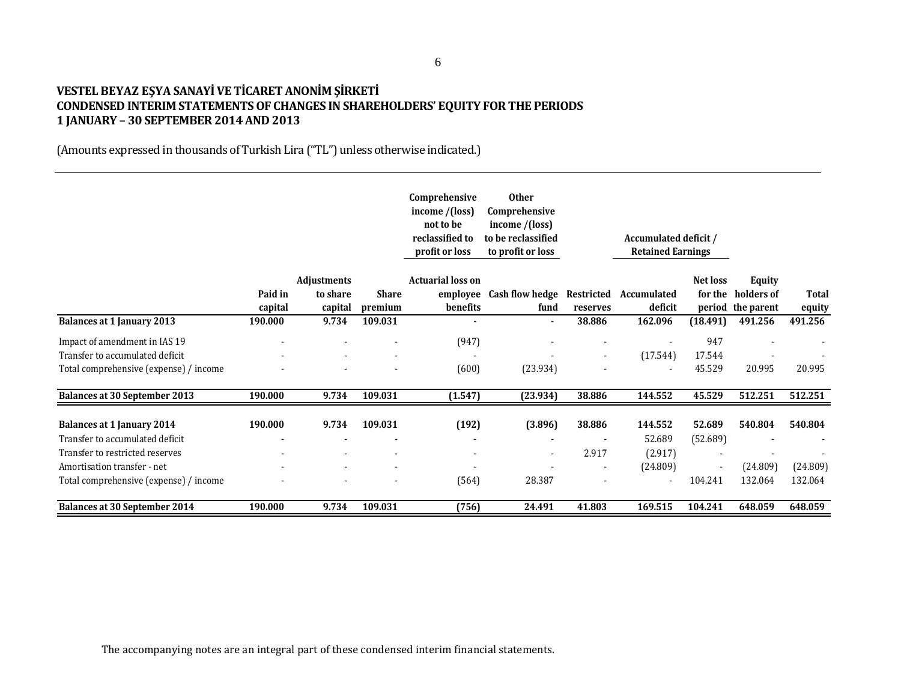### **VESTEL BEYAZ EŞYA SANAYİ VE TİCARET ANONİM ŞİRKETİ CONDENSED INTERIM STATEMENTS OF CHANGES IN SHAREHOLDERS' EQUITY FOR THE PERIODS 1 JANUARY – 30 SEPTEMBER 2014 AND 2013**

|                                        |                    |                                           |                         | Comprehensive<br>income $/(loss)$<br>not to be<br>reclassified to<br>profit or loss | <b>Other</b><br>Comprehensive<br>income /(loss)<br>to be reclassified<br>to profit or loss |                          | Accumulated deficit /<br><b>Retained Earnings</b> |                     |                                                  |                        |
|----------------------------------------|--------------------|-------------------------------------------|-------------------------|-------------------------------------------------------------------------------------|--------------------------------------------------------------------------------------------|--------------------------|---------------------------------------------------|---------------------|--------------------------------------------------|------------------------|
|                                        | Paid in<br>capital | <b>Adjustments</b><br>to share<br>capital | <b>Share</b><br>premium | <b>Actuarial loss on</b><br>benefits                                                | employee Cash flow hedge<br>fund                                                           | Restricted<br>reserves   | Accumulated<br>deficit                            | Net loss<br>for the | <b>Equity</b><br>holders of<br>period the parent | <b>Total</b><br>equity |
| <b>Balances at 1 January 2013</b>      | 190.000            | 9.734                                     | 109.031                 |                                                                                     |                                                                                            | 38.886                   | 162.096                                           | (18.491)            | 491.256                                          | 491.256                |
| Impact of amendment in IAS 19          |                    |                                           |                         | (947)                                                                               |                                                                                            |                          |                                                   | 947                 |                                                  |                        |
| Transfer to accumulated deficit        |                    |                                           |                         |                                                                                     |                                                                                            | $\overline{\phantom{a}}$ | (17.544)                                          | 17.544              |                                                  |                        |
| Total comprehensive (expense) / income |                    |                                           |                         | (600)                                                                               | (23.934)                                                                                   |                          |                                                   | 45.529              | 20.995                                           | 20.995                 |
| <b>Balances at 30 September 2013</b>   | 190.000            | 9.734                                     | 109.031                 | (1.547)                                                                             | (23.934)                                                                                   | 38.886                   | 144.552                                           | 45.529              | 512.251                                          | 512.251                |
| <b>Balances at 1 January 2014</b>      | 190.000            | 9.734                                     | 109.031                 | (192)                                                                               | (3.896)                                                                                    | 38.886                   | 144.552                                           | 52.689              | 540.804                                          | 540.804                |
| Transfer to accumulated deficit        |                    |                                           |                         |                                                                                     |                                                                                            |                          | 52.689                                            | (52.689)            |                                                  |                        |
| Transfer to restricted reserves        |                    |                                           |                         | $\overline{\phantom{a}}$                                                            |                                                                                            | 2.917                    | (2.917)                                           |                     |                                                  |                        |
| Amortisation transfer - net            |                    |                                           |                         |                                                                                     |                                                                                            |                          | (24.809)                                          |                     | (24.809)                                         | (24.809)               |
| Total comprehensive (expense) / income |                    |                                           |                         | (564)                                                                               | 28.387                                                                                     |                          |                                                   | 104.241             | 132.064                                          | 132.064                |
| <b>Balances at 30 September 2014</b>   | 190.000            | 9.734                                     | 109.031                 | (756)                                                                               | 24.491                                                                                     | 41.803                   | 169.515                                           | 104.241             | 648.059                                          | 648.059                |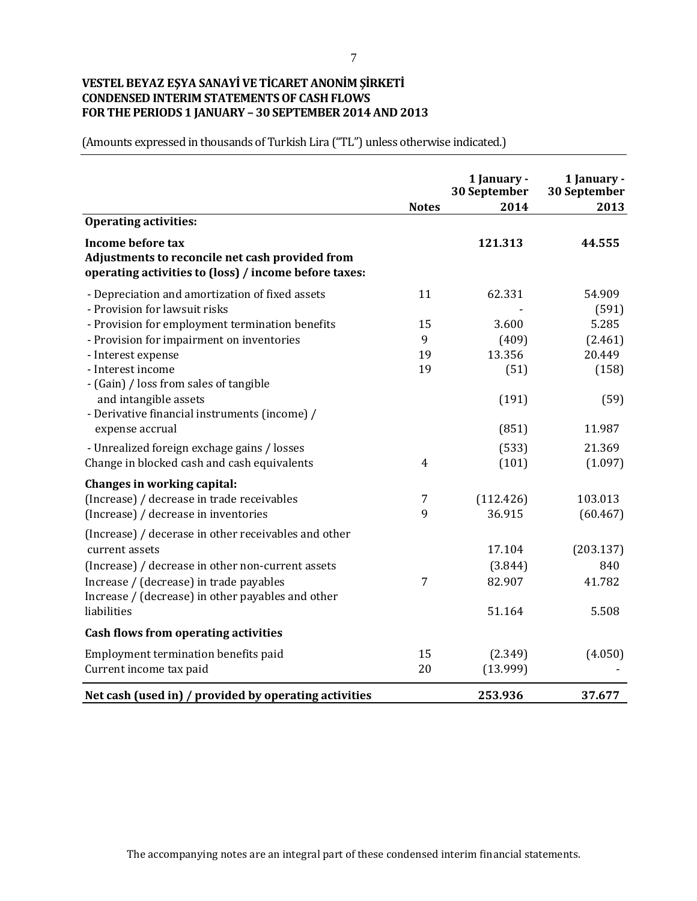### **VESTEL BEYAZ EŞYA SANAYİ VE TİCARET ANONİM ŞİRKETİ CONDENSED INTERIM STATEMENTS OF CASH FLOWS FOR THE PERIODS 1 JANUARY – 30 SEPTEMBER 2014 AND 2013**

|                                                                                                                                      | <b>Notes</b>   | 1 January -<br>30 September<br>2014 | 1 January -<br>30 September<br>2013 |
|--------------------------------------------------------------------------------------------------------------------------------------|----------------|-------------------------------------|-------------------------------------|
| <b>Operating activities:</b>                                                                                                         |                |                                     |                                     |
| <b>Income before tax</b><br>Adjustments to reconcile net cash provided from<br>operating activities to (loss) / income before taxes: |                | 121.313                             | 44.555                              |
| - Depreciation and amortization of fixed assets<br>- Provision for lawsuit risks                                                     | 11             | 62.331                              | 54.909<br>(591)                     |
| - Provision for employment termination benefits                                                                                      | 15             | 3.600                               | 5.285                               |
| - Provision for impairment on inventories                                                                                            | 9              | (409)                               | (2.461)                             |
| - Interest expense                                                                                                                   | 19             | 13.356                              | 20.449                              |
| - Interest income<br>- (Gain) / loss from sales of tangible                                                                          | 19             | (51)                                | (158)                               |
| and intangible assets<br>- Derivative financial instruments (income) /                                                               |                | (191)                               | (59)                                |
| expense accrual                                                                                                                      |                | (851)                               | 11.987                              |
| - Unrealized foreign exchage gains / losses<br>Change in blocked cash and cash equivalents                                           | $\overline{4}$ | (533)<br>(101)                      | 21.369<br>(1.097)                   |
|                                                                                                                                      |                |                                     |                                     |
| Changes in working capital:<br>(Increase) / decrease in trade receivables<br>(Increase) / decrease in inventories                    | 7<br>9         | (112.426)<br>36.915                 | 103.013<br>(60.467)                 |
| (Increase) / decerase in other receivables and other<br>current assets                                                               |                | 17.104                              | (203.137)                           |
| (Increase) / decrease in other non-current assets                                                                                    |                | (3.844)                             | 840                                 |
| Increase / (decrease) in trade payables<br>Increase / (decrease) in other payables and other                                         | 7              | 82.907                              | 41.782                              |
| liabilities                                                                                                                          |                | 51.164                              | 5.508                               |
| <b>Cash flows from operating activities</b>                                                                                          |                |                                     |                                     |
| Employment termination benefits paid<br>Current income tax paid                                                                      | 15<br>20       | (2.349)<br>(13.999)                 | (4.050)                             |
| Net cash (used in) / provided by operating activities                                                                                |                | 253.936                             | 37.677                              |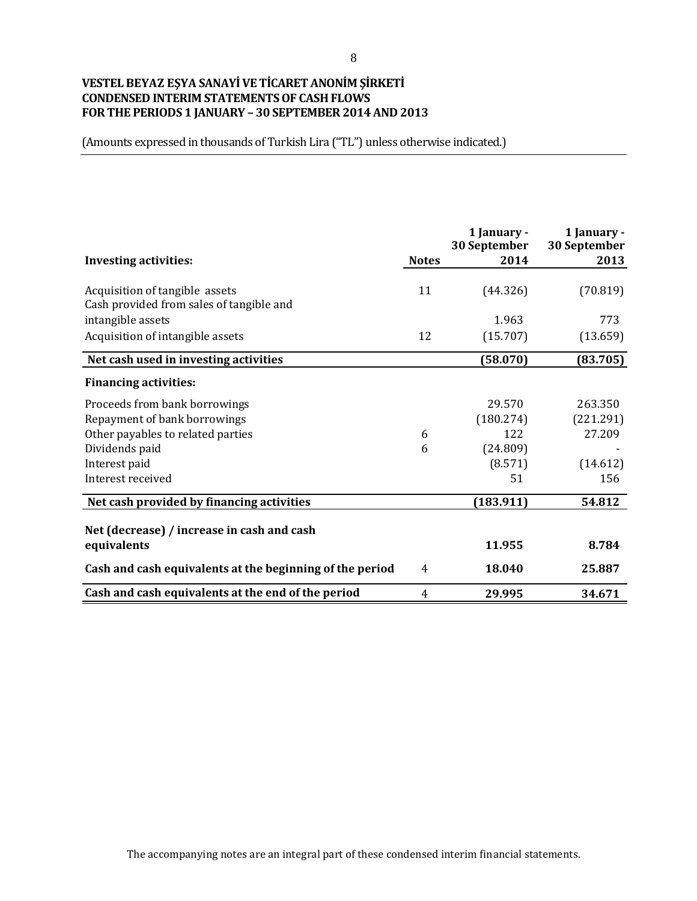### **VESTEL BEYAZ EŞYA SANAYİ VE TİCARET ANONİM ŞİRKETİ CONDENSED INTERIM STATEMENTS OF CASH FLOWS FOR THE PERIODS 1 JANUARY – 30 SEPTEMBER 2014 AND 2013**

|                                                                            |              | 1 January -<br>30 September | 1 January -<br>30 September |
|----------------------------------------------------------------------------|--------------|-----------------------------|-----------------------------|
| <b>Investing activities:</b>                                               | <b>Notes</b> | 2014                        | 2013                        |
| Acquisition of tangible assets<br>Cash provided from sales of tangible and | 11           | (44.326)                    | (70.819)                    |
| intangible assets                                                          |              | 1.963                       | 773                         |
| Acquisition of intangible assets                                           | 12           | (15.707)                    | (13.659)                    |
| Net cash used in investing activities                                      |              | (58.070)                    | (83.705)                    |
| <b>Financing activities:</b>                                               |              |                             |                             |
| Proceeds from bank borrowings                                              |              | 29.570                      | 263.350                     |
| Repayment of bank borrowings                                               |              | (180.274)                   | (221.291)                   |
| Other payables to related parties                                          | 6            | 122                         | 27.209                      |
| Dividends paid                                                             | 6            | (24.809)                    |                             |
| Interest paid                                                              |              | (8.571)                     | (14.612)                    |
| Interest received                                                          |              | 51                          | 156                         |
| Net cash provided by financing activities                                  |              | (183.911)                   | 54.812                      |
| Net (decrease) / increase in cash and cash                                 |              |                             |                             |
| equivalents                                                                |              | 11.955                      | 8.784                       |
| Cash and cash equivalents at the beginning of the period                   | 4            | 18.040                      | 25.887                      |
| Cash and cash equivalents at the end of the period                         | 4            | 29.995                      | 34.671                      |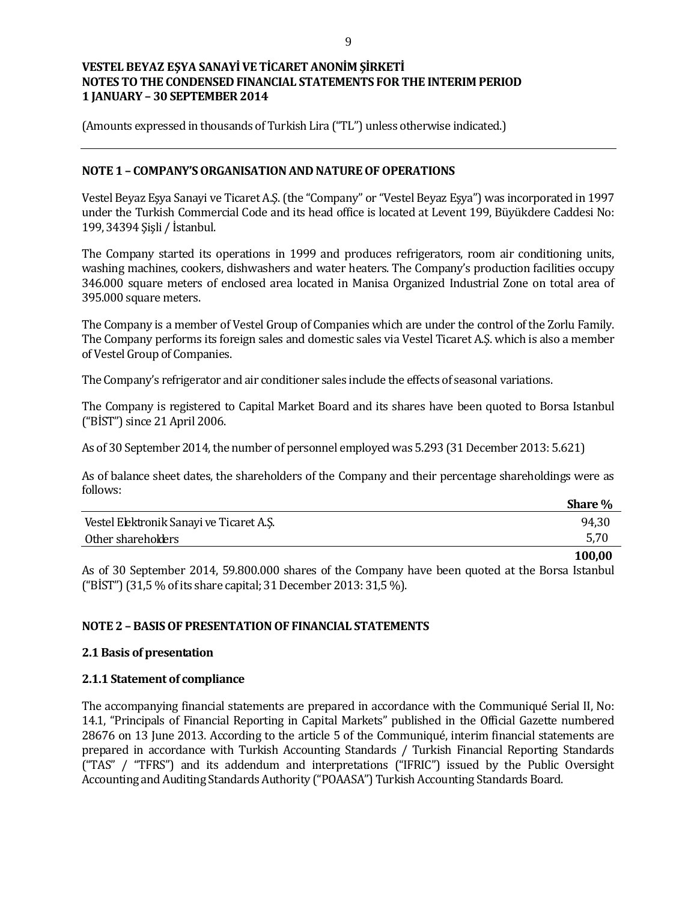(Amounts expressed in thousands of Turkish Lira ("TL") unless otherwise indicated.)

### **NOTE 1 – COMPANY'S ORGANISATION AND NATURE OF OPERATIONS**

Vestel Beyaz Eşya Sanayi ve Ticaret A.Ş. (the "Company" or "Vestel Beyaz Eşya") was incorporated in 1997 under the Turkish Commercial Code and its head office is located at Levent 199, Büyükdere Caddesi No: 199, 34394 Şişli / İstanbul.

The Company started its operations in 1999 and produces refrigerators, room air conditioning units, washing machines, cookers, dishwashers and water heaters. The Company's production facilities occupy 346.000 square meters of enclosed area located in Manisa Organized Industrial Zone on total area of 395.000 square meters.

The Company is a member of Vestel Group of Companies which are under the control of the Zorlu Family. The Company performs its foreign sales and domestic sales via Vestel Ticaret A.Ş. which is also a member of Vestel Group of Companies.

The Company's refrigerator and air conditioner sales include the effects of seasonal variations.

The Company is registered to Capital Market Board and its shares have been quoted to Borsa Istanbul ("BİST") since 21 April 2006.

As of 30 September 2014, the number of personnel employed was 5.293 (31 December 2013: 5.621)

As of balance sheet dates, the shareholders of the Company and their percentage shareholdings were as follows:

|                                          | <b>Share</b> % |
|------------------------------------------|----------------|
| Vestel Elektronik Sanayi ve Ticaret A.Ş. | 94,30          |
| Other shareholders                       | 5,70           |
|                                          | 100.00         |

As of 30 September 2014, 59.800.000 shares of the Company have been quoted at the Borsa Istanbul ("BİST") (31,5 % of its share capital; 31 December 2013: 31,5 %).

### **NOTE 2 – BASIS OF PRESENTATION OF FINANCIAL STATEMENTS**

#### **2.1 Basis of presentation**

#### **2.1.1 Statement of compliance**

The accompanying financial statements are prepared in accordance with the Communiqué Serial II, No: 14.1, "Principals of Financial Reporting in Capital Markets" published in the Official Gazette numbered 28676 on 13 June 2013. According to the article 5 of the Communiqué, interim financial statements are prepared in accordance with Turkish Accounting Standards / Turkish Financial Reporting Standards ("TAS" / "TFRS") and its addendum and interpretations ("IFRIC") issued by the Public Oversight Accounting and Auditing Standards Authority ("POAASA") Turkish Accounting Standards Board.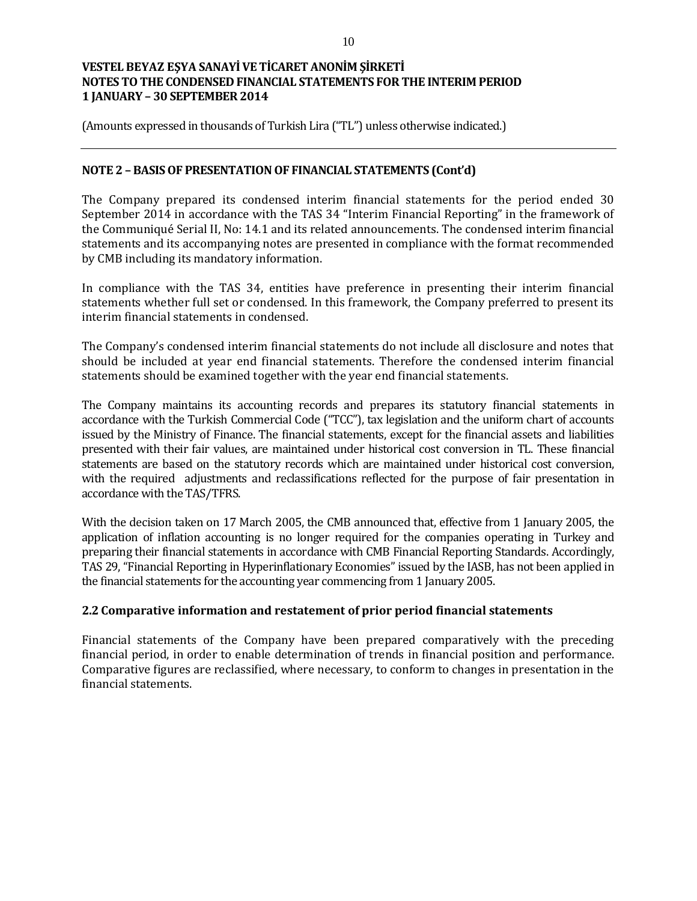(Amounts expressed in thousands of Turkish Lira ("TL") unless otherwise indicated.)

### **NOTE 2 – BASIS OF PRESENTATION OF FINANCIAL STATEMENTS (Cont'd)**

The Company prepared its condensed interim financial statements for the period ended 30 September 2014 in accordance with the TAS 34 "Interim Financial Reporting" in the framework of the Communiqué Serial II, No: 14.1 and its related announcements. The condensed interim financial statements and its accompanying notes are presented in compliance with the format recommended by CMB including its mandatory information.

In compliance with the TAS 34, entities have preference in presenting their interim financial statements whether full set or condensed. In this framework, the Company preferred to present its interim financial statements in condensed.

The Company's condensed interim financial statements do not include all disclosure and notes that should be included at year end financial statements. Therefore the condensed interim financial statements should be examined together with the year end financial statements.

The Company maintains its accounting records and prepares its statutory financial statements in accordance with the Turkish Commercial Code ("TCC"), tax legislation and the uniform chart of accounts issued by the Ministry of Finance. The financial statements, except for the financial assets and liabilities presented with their fair values, are maintained under historical cost conversion in TL. These financial statements are based on the statutory records which are maintained under historical cost conversion, with the required adjustments and reclassifications reflected for the purpose of fair presentation in accordance with the TAS/TFRS.

With the decision taken on 17 March 2005, the CMB announced that, effective from 1 January 2005, the application of inflation accounting is no longer required for the companies operating in Turkey and preparing their financial statements in accordance with CMB Financial Reporting Standards. Accordingly, TAS 29, "Financial Reporting in Hyperinflationary Economies" issued by the IASB, has not been applied in the financial statements for the accounting year commencing from 1 January 2005.

### **2.2 Comparative information and restatement of prior period financial statements**

Financial statements of the Company have been prepared comparatively with the preceding financial period, in order to enable determination of trends in financial position and performance. Comparative figures are reclassified, where necessary, to conform to changes in presentation in the financial statements.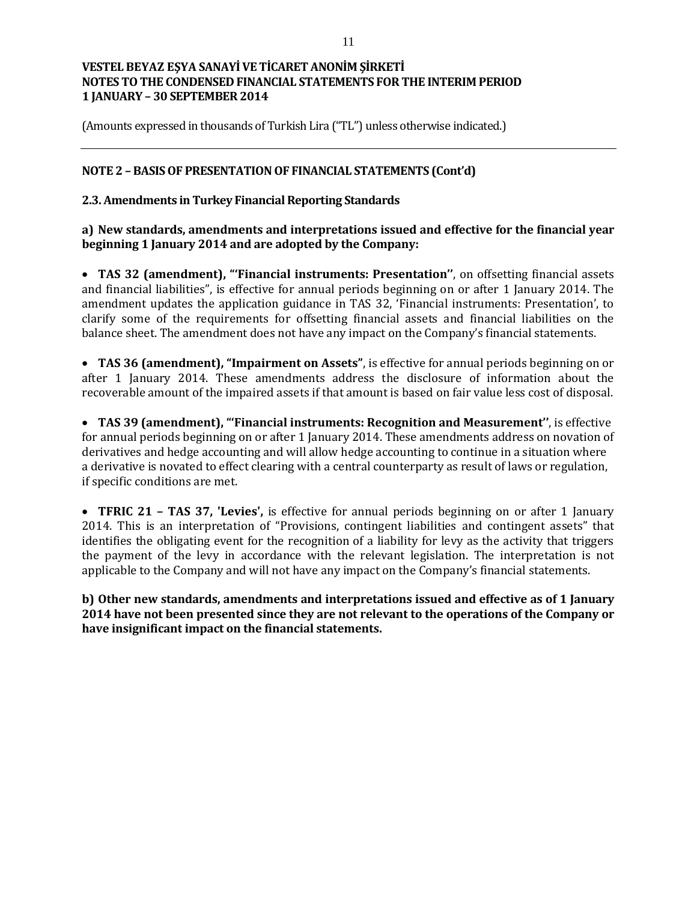(Amounts expressed in thousands of Turkish Lira ("TL") unless otherwise indicated.)

### **NOTE 2 – BASIS OF PRESENTATION OF FINANCIAL STATEMENTS (Cont'd)**

### **2.3. Amendments in Turkey Financial Reporting Standards**

### **a) New standards, amendments and interpretations issued and effective for the financial year beginning 1 January 2014 and are adopted by the Company:**

 **TAS 32 (amendment), "'Financial instruments: Presentation''**, on offsetting financial assets and financial liabilities", is effective for annual periods beginning on or after 1 January 2014. The amendment updates the application guidance in TAS 32, 'Financial instruments: Presentation', to clarify some of the requirements for offsetting financial assets and financial liabilities on the balance sheet. The amendment does not have any impact on the Company's financial statements.

 **TAS 36 (amendment), "Impairment on Assets"**, is effective for annual periods beginning on or after 1 January 2014. These amendments address the disclosure of information about the recoverable amount of the impaired assets if that amount is based on fair value less cost of disposal.

 **TAS 39 (amendment), "'Financial instruments: Recognition and Measurement''**, is effective for annual periods beginning on or after 1 January 2014. These amendments address on novation of derivatives and hedge accounting and will allow hedge accounting to continue in a situation where a derivative is novated to effect clearing with a central counterparty as result of laws or regulation, if specific conditions are met.

 **TFRIC 21 – TAS 37, 'Levies',** is effective for annual periods beginning on or after 1 January 2014. This is an interpretation of "Provisions, contingent liabilities and contingent assets" that identifies the obligating event for the recognition of a liability for levy as the activity that triggers the payment of the levy in accordance with the relevant legislation. The interpretation is not applicable to the Company and will not have any impact on the Company's financial statements.

**b) Other new standards, amendments and interpretations issued and effective as of 1 January 2014 have not been presented since they are not relevant to the operations of the Company or have insignificant impact on the financial statements.**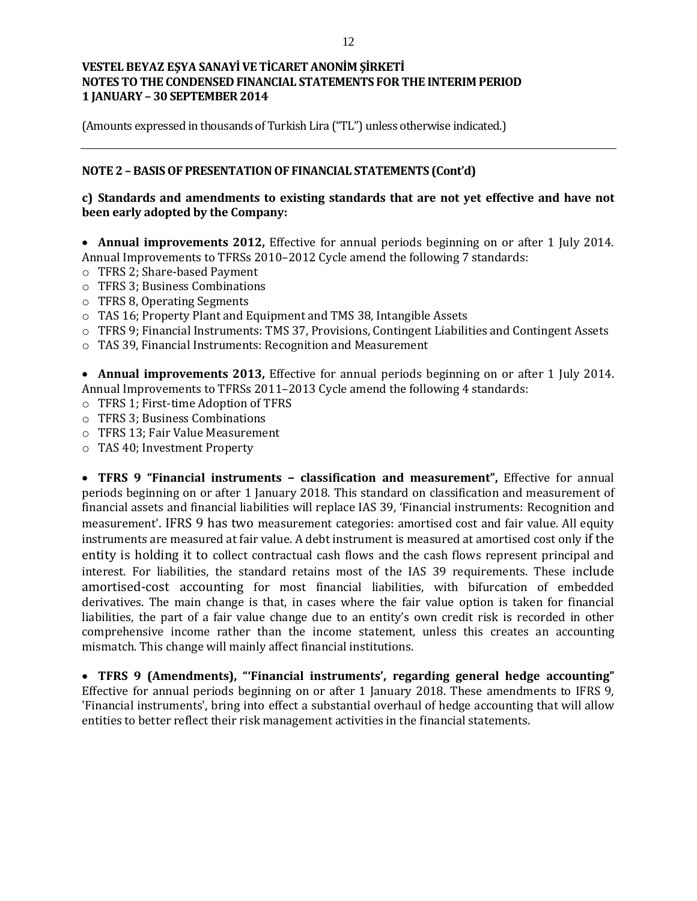(Amounts expressed in thousands of Turkish Lira ("TL") unless otherwise indicated.)

### **NOTE 2 – BASIS OF PRESENTATION OF FINANCIAL STATEMENTS (Cont'd)**

### **c) Standards and amendments to existing standards that are not yet effective and have not been early adopted by the Company:**

 **Annual improvements 2012,** Effective for annual periods beginning on or after 1 July 2014. Annual Improvements to TFRSs 2010–2012 Cycle amend the following 7 standards:

- o TFRS 2; Share-based Payment
- o TFRS 3; Business Combinations
- o TFRS 8, Operating Segments
- o TAS 16; Property Plant and Equipment and TMS 38, Intangible Assets
- o TFRS 9; Financial Instruments: TMS 37, Provisions, Contingent Liabilities and Contingent Assets
- o TAS 39, Financial Instruments: Recognition and Measurement

 **Annual improvements 2013,** Effective for annual periods beginning on or after 1 July 2014. Annual Improvements to TFRSs 2011–2013 Cycle amend the following 4 standards:

- o TFRS 1; First-time Adoption of TFRS
- o TFRS 3; Business Combinations
- o TFRS 13; Fair Value Measurement
- o TAS 40; Investment Property

 **TFRS 9 "Financial instruments – classification and measurement",** Effective for annual periods beginning on or after 1 January 2018. This standard on classification and measurement of financial assets and financial liabilities will replace IAS 39, 'Financial instruments: Recognition and measurement'. IFRS 9 has two measurement categories: amortised cost and fair value. All equity instruments are measured at fair value. A debt instrument is measured at amortised cost only if the entity is holding it to collect contractual cash flows and the cash flows represent principal and interest. For liabilities, the standard retains most of the IAS 39 requirements. These include amortised-cost accounting for most financial liabilities, with bifurcation of embedded derivatives. The main change is that, in cases where the fair value option is taken for financial liabilities, the part of a fair value change due to an entity's own credit risk is recorded in other comprehensive income rather than the income statement, unless this creates an accounting mismatch. This change will mainly affect financial institutions.

 **TFRS 9 (Amendments), "'Financial instruments', regarding general hedge accounting"**  Effective for annual periods beginning on or after 1 January 2018. These amendments to IFRS 9, 'Financial instruments', bring into effect a substantial overhaul of hedge accounting that will allow entities to better reflect their risk management activities in the financial statements.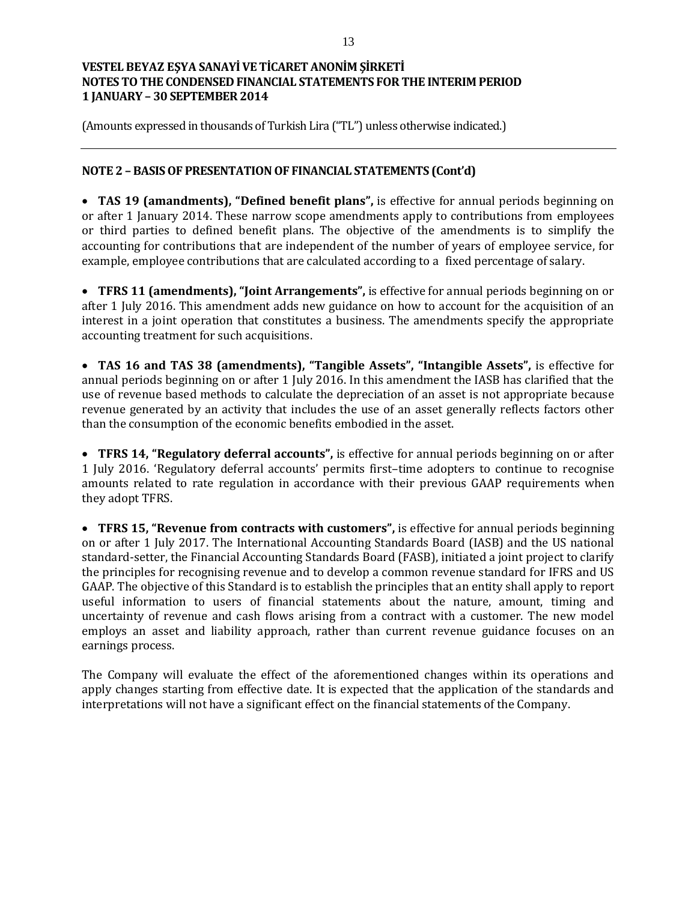(Amounts expressed in thousands of Turkish Lira ("TL") unless otherwise indicated.)

### **NOTE 2 – BASIS OF PRESENTATION OF FINANCIAL STATEMENTS (Cont'd)**

 **TAS 19 (amandments), "Defined benefit plans",** is effective for annual periods beginning on or after 1 January 2014. These narrow scope amendments apply to contributions from employees or third parties to defined benefit plans. The objective of the amendments is to simplify the accounting for contributions that are independent of the number of years of employee service, for example, employee contributions that are calculated according to a fixed percentage of salary.

 **TFRS 11 (amendments), "Joint Arrangements",** is effective for annual periods beginning on or after 1 July 2016. This amendment adds new guidance on how to account for the acquisition of an interest in a joint operation that constitutes a business. The amendments specify the appropriate accounting treatment for such acquisitions.

 **TAS 16 and TAS 38 (amendments), "Tangible Assets", "Intangible Assets",** is effective for annual periods beginning on or after 1 July 2016. In this amendment the IASB has clarified that the use of revenue based methods to calculate the depreciation of an asset is not appropriate because revenue generated by an activity that includes the use of an asset generally reflects factors other than the consumption of the economic benefits embodied in the asset.

 **TFRS 14, "Regulatory deferral accounts",** is effective for annual periods beginning on or after 1 July 2016. 'Regulatory deferral accounts' permits first–time adopters to continue to recognise amounts related to rate regulation in accordance with their previous GAAP requirements when they adopt TFRS.

 **TFRS 15, "Revenue from contracts with customers",** is effective for annual periods beginning on or after 1 July 2017. The International Accounting Standards Board (IASB) and the US national standard-setter, the Financial Accounting Standards Board (FASB), initiated a joint project to clarify the principles for recognising revenue and to develop a common revenue standard for IFRS and US GAAP. The objective of this Standard is to establish the principles that an entity shall apply to report useful information to users of financial statements about the nature, amount, timing and uncertainty of revenue and cash flows arising from a contract with a customer. The new model employs an asset and liability approach, rather than current revenue guidance focuses on an earnings process.

The Company will evaluate the effect of the aforementioned changes within its operations and apply changes starting from effective date. It is expected that the application of the standards and interpretations will not have a significant effect on the financial statements of the Company.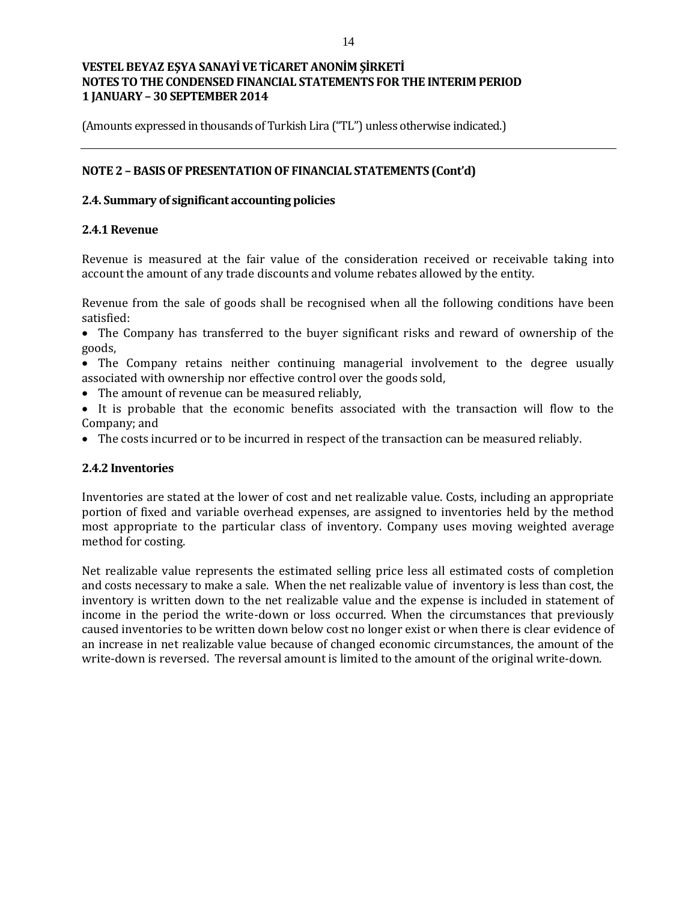(Amounts expressed in thousands of Turkish Lira ("TL") unless otherwise indicated.)

### **NOTE 2 – BASIS OF PRESENTATION OF FINANCIAL STATEMENTS (Cont'd)**

### **2.4. Summary of significant accounting policies**

### **2.4.1 Revenue**

Revenue is measured at the fair value of the consideration received or receivable taking into account the amount of any trade discounts and volume rebates allowed by the entity.

Revenue from the sale of goods shall be recognised when all the following conditions have been satisfied:

 The Company has transferred to the buyer significant risks and reward of ownership of the goods,

• The Company retains neither continuing managerial involvement to the degree usually associated with ownership nor effective control over the goods sold,

- The amount of revenue can be measured reliably,
- It is probable that the economic benefits associated with the transaction will flow to the Company; and
- The costs incurred or to be incurred in respect of the transaction can be measured reliably.

#### **2.4.2 Inventories**

Inventories are stated at the lower of cost and net realizable value. Costs, including an appropriate portion of fixed and variable overhead expenses, are assigned to inventories held by the method most appropriate to the particular class of inventory. Company uses moving weighted average method for costing.

Net realizable value represents the estimated selling price less all estimated costs of completion and costs necessary to make a sale. When the net realizable value of inventory is less than cost, the inventory is written down to the net realizable value and the expense is included in statement of income in the period the write-down or loss occurred. When the circumstances that previously caused inventories to be written down below cost no longer exist or when there is clear evidence of an increase in net realizable value because of changed economic circumstances, the amount of the write-down is reversed. The reversal amount is limited to the amount of the original write-down.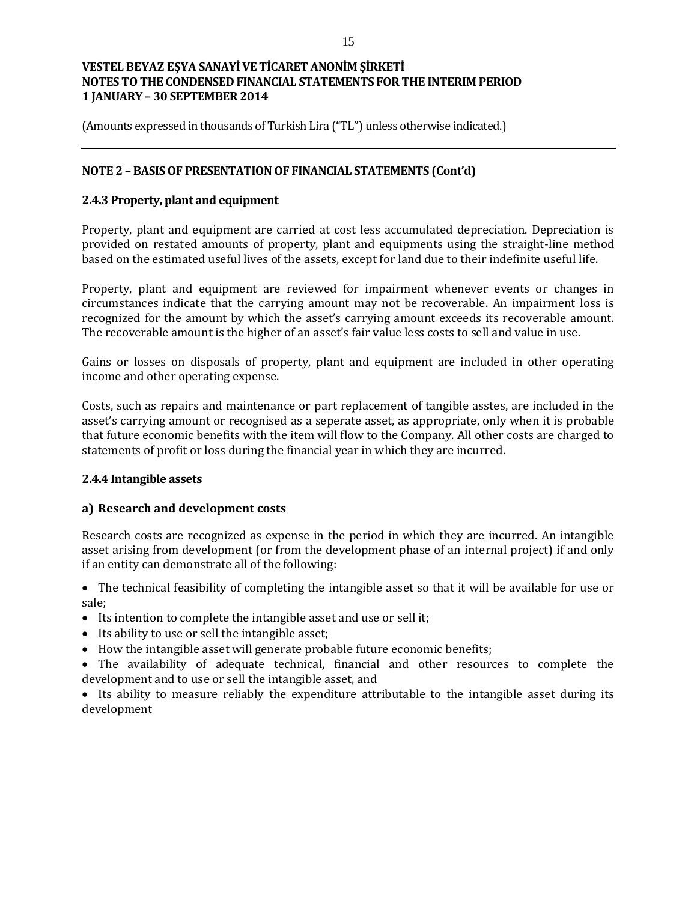(Amounts expressed in thousands of Turkish Lira ("TL") unless otherwise indicated.)

### **NOTE 2 – BASIS OF PRESENTATION OF FINANCIAL STATEMENTS (Cont'd)**

### **2.4.3 Property, plant and equipment**

Property, plant and equipment are carried at cost less accumulated depreciation. Depreciation is provided on restated amounts of property, plant and equipments using the straight-line method based on the estimated useful lives of the assets, except for land due to their indefinite useful life.

Property, plant and equipment are reviewed for impairment whenever events or changes in circumstances indicate that the carrying amount may not be recoverable. An impairment loss is recognized for the amount by which the asset's carrying amount exceeds its recoverable amount. The recoverable amount is the higher of an asset's fair value less costs to sell and value in use.

Gains or losses on disposals of property, plant and equipment are included in other operating income and other operating expense.

Costs, such as repairs and maintenance or part replacement of tangible asstes, are included in the asset's carrying amount or recognised as a seperate asset, as appropriate, only when it is probable that future economic benefits with the item will flow to the Company. All other costs are charged to statements of profit or loss during the financial year in which they are incurred.

#### **2.4.4 Intangible assets**

#### **a) Research and development costs**

Research costs are recognized as expense in the period in which they are incurred. An intangible asset arising from development (or from the development phase of an internal project) if and only if an entity can demonstrate all of the following:

 The technical feasibility of completing the intangible asset so that it will be available for use or sale;

- Its intention to complete the intangible asset and use or sell it;
- Its ability to use or sell the intangible asset;
- How the intangible asset will generate probable future economic benefits;

 The availability of adequate technical, financial and other resources to complete the development and to use or sell the intangible asset, and

• Its ability to measure reliably the expenditure attributable to the intangible asset during its development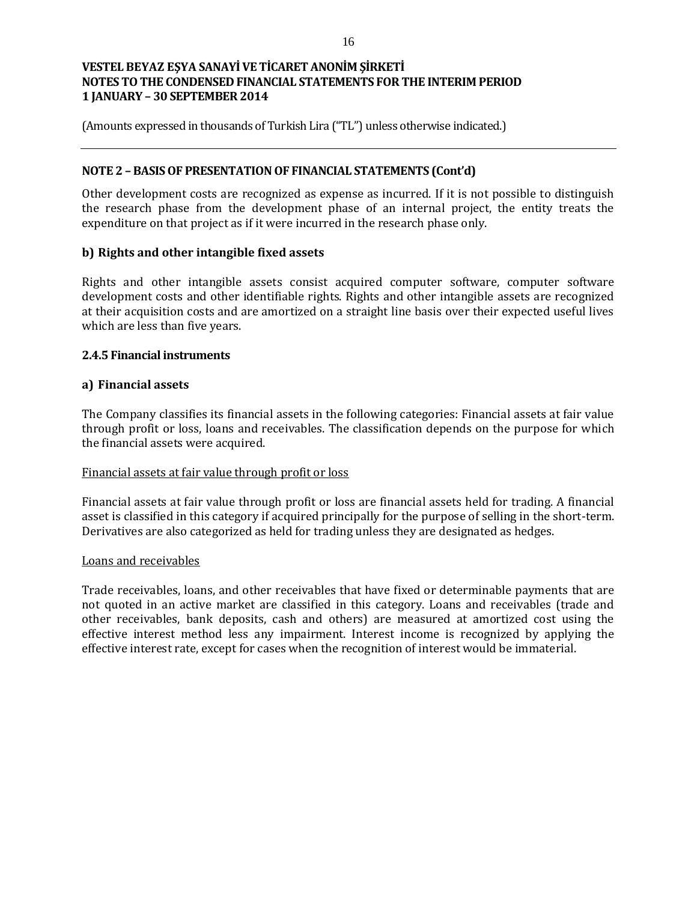(Amounts expressed in thousands of Turkish Lira ("TL") unless otherwise indicated.)

### **NOTE 2 – BASIS OF PRESENTATION OF FINANCIAL STATEMENTS (Cont'd)**

Other development costs are recognized as expense as incurred. If it is not possible to distinguish the research phase from the development phase of an internal project, the entity treats the expenditure on that project as if it were incurred in the research phase only.

### **b) Rights and other intangible fixed assets**

Rights and other intangible assets consist acquired computer software, computer software development costs and other identifiable rights. Rights and other intangible assets are recognized at their acquisition costs and are amortized on a straight line basis over their expected useful lives which are less than five years.

### **2.4.5 Financial instruments**

### **a) Financial assets**

The Company classifies its financial assets in the following categories: Financial assets at fair value through profit or loss, loans and receivables. The classification depends on the purpose for which the financial assets were acquired.

#### Financial assets at fair value through profit or loss

Financial assets at fair value through profit or loss are financial assets held for trading. A financial asset is classified in this category if acquired principally for the purpose of selling in the short-term. Derivatives are also categorized as held for trading unless they are designated as hedges.

#### Loans and receivables

Trade receivables, loans, and other receivables that have fixed or determinable payments that are not quoted in an active market are classified in this category. Loans and receivables (trade and other receivables, bank deposits, cash and others) are measured at amortized cost using the effective interest method less any impairment. Interest income is recognized by applying the effective interest rate, except for cases when the recognition of interest would be immaterial.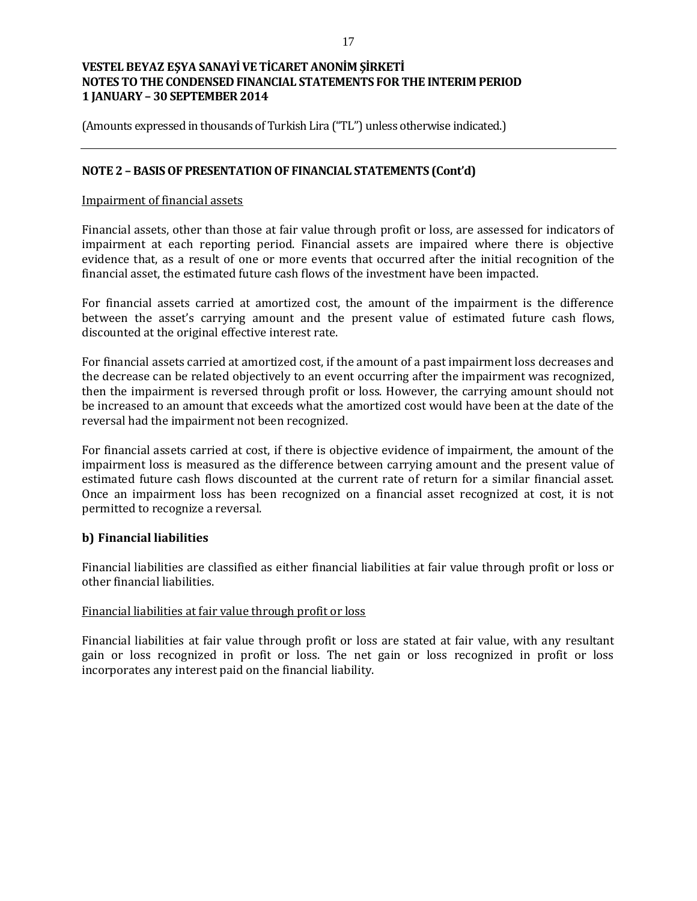(Amounts expressed in thousands of Turkish Lira ("TL") unless otherwise indicated.)

### **NOTE 2 – BASIS OF PRESENTATION OF FINANCIAL STATEMENTS (Cont'd)**

#### Impairment of financial assets

Financial assets, other than those at fair value through profit or loss, are assessed for indicators of impairment at each reporting period. Financial assets are impaired where there is objective evidence that, as a result of one or more events that occurred after the initial recognition of the financial asset, the estimated future cash flows of the investment have been impacted.

For financial assets carried at amortized cost, the amount of the impairment is the difference between the asset's carrying amount and the present value of estimated future cash flows, discounted at the original effective interest rate.

For financial assets carried at amortized cost, if the amount of a past impairment loss decreases and the decrease can be related objectively to an event occurring after the impairment was recognized, then the impairment is reversed through profit or loss. However, the carrying amount should not be increased to an amount that exceeds what the amortized cost would have been at the date of the reversal had the impairment not been recognized.

For financial assets carried at cost, if there is objective evidence of impairment, the amount of the impairment loss is measured as the difference between carrying amount and the present value of estimated future cash flows discounted at the current rate of return for a similar financial asset. Once an impairment loss has been recognized on a financial asset recognized at cost, it is not permitted to recognize a reversal.

#### **b) Financial liabilities**

Financial liabilities are classified as either financial liabilities at fair value through profit or loss or other financial liabilities.

#### Financial liabilities at fair value through profit or loss

Financial liabilities at fair value through profit or loss are stated at fair value, with any resultant gain or loss recognized in profit or loss. The net gain or loss recognized in profit or loss incorporates any interest paid on the financial liability.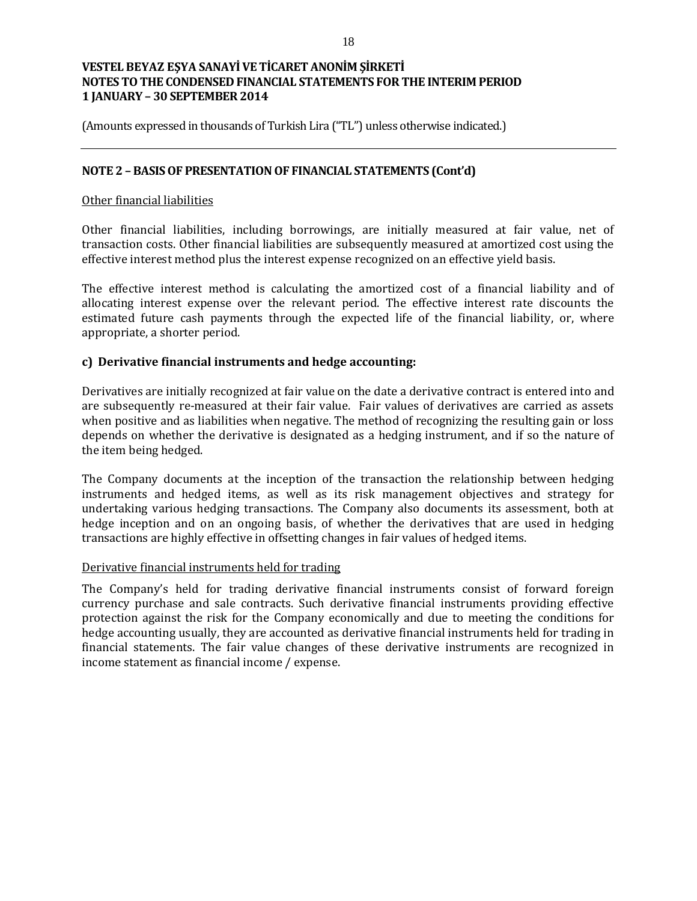(Amounts expressed in thousands of Turkish Lira ("TL") unless otherwise indicated.)

### **NOTE 2 – BASIS OF PRESENTATION OF FINANCIAL STATEMENTS (Cont'd)**

#### Other financial liabilities

Other financial liabilities, including borrowings, are initially measured at fair value, net of transaction costs. Other financial liabilities are subsequently measured at amortized cost using the effective interest method plus the interest expense recognized on an effective yield basis.

The effective interest method is calculating the amortized cost of a financial liability and of allocating interest expense over the relevant period. The effective interest rate discounts the estimated future cash payments through the expected life of the financial liability, or, where appropriate, a shorter period.

### **c) Derivative financial instruments and hedge accounting:**

Derivatives are initially recognized at fair value on the date a derivative contract is entered into and are subsequently re-measured at their fair value. Fair values of derivatives are carried as assets when positive and as liabilities when negative. The method of recognizing the resulting gain or loss depends on whether the derivative is designated as a hedging instrument, and if so the nature of the item being hedged.

The Company documents at the inception of the transaction the relationship between hedging instruments and hedged items, as well as its risk management objectives and strategy for undertaking various hedging transactions. The Company also documents its assessment, both at hedge inception and on an ongoing basis, of whether the derivatives that are used in hedging transactions are highly effective in offsetting changes in fair values of hedged items.

#### Derivative financial instruments held for trading

The Company's held for trading derivative financial instruments consist of forward foreign currency purchase and sale contracts. Such derivative financial instruments providing effective protection against the risk for the Company economically and due to meeting the conditions for hedge accounting usually, they are accounted as derivative financial instruments held for trading in financial statements. The fair value changes of these derivative instruments are recognized in income statement as financial income / expense.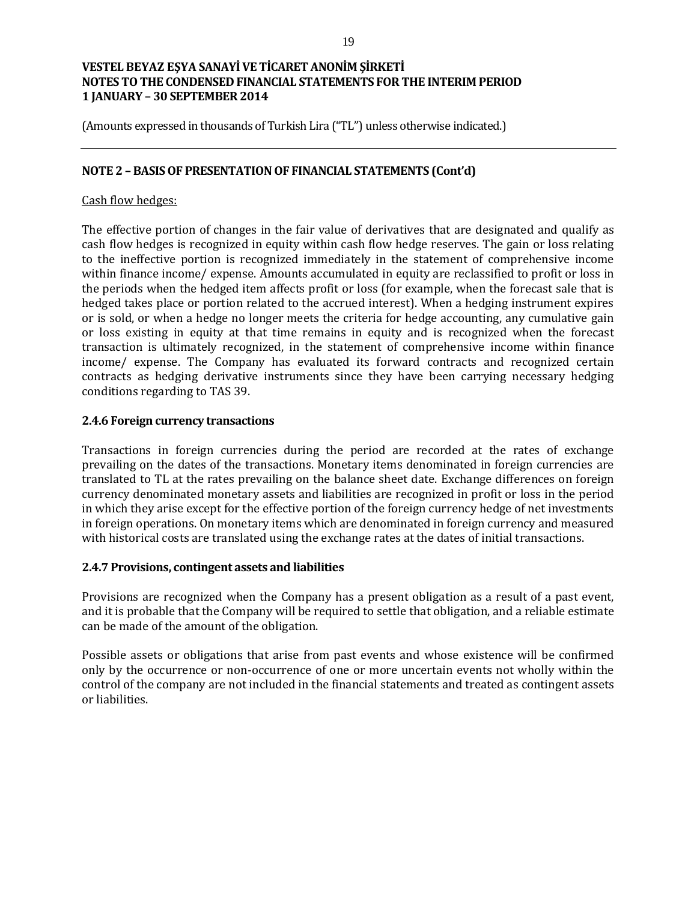(Amounts expressed in thousands of Turkish Lira ("TL") unless otherwise indicated.)

### **NOTE 2 – BASIS OF PRESENTATION OF FINANCIAL STATEMENTS (Cont'd)**

### Cash flow hedges:

The effective portion of changes in the fair value of derivatives that are designated and qualify as cash flow hedges is recognized in equity within cash flow hedge reserves. The gain or loss relating to the ineffective portion is recognized immediately in the statement of comprehensive income within finance income/ expense. Amounts accumulated in equity are reclassified to profit or loss in the periods when the hedged item affects profit or loss (for example, when the forecast sale that is hedged takes place or portion related to the accrued interest). When a hedging instrument expires or is sold, or when a hedge no longer meets the criteria for hedge accounting, any cumulative gain or loss existing in equity at that time remains in equity and is recognized when the forecast transaction is ultimately recognized, in the statement of comprehensive income within finance income/ expense. The Company has evaluated its forward contracts and recognized certain contracts as hedging derivative instruments since they have been carrying necessary hedging conditions regarding to TAS 39.

#### **2.4.6 Foreign currency transactions**

Transactions in foreign currencies during the period are recorded at the rates of exchange prevailing on the dates of the transactions. Monetary items denominated in foreign currencies are translated to TL at the rates prevailing on the balance sheet date. Exchange differences on foreign currency denominated monetary assets and liabilities are recognized in profit or loss in the period in which they arise except for the effective portion of the foreign currency hedge of net investments in foreign operations. On monetary items which are denominated in foreign currency and measured with historical costs are translated using the exchange rates at the dates of initial transactions.

#### **2.4.7 Provisions, contingent assets and liabilities**

Provisions are recognized when the Company has a present obligation as a result of a past event, and it is probable that the Company will be required to settle that obligation, and a reliable estimate can be made of the amount of the obligation.

Possible assets or obligations that arise from past events and whose existence will be confirmed only by the occurrence or non-occurrence of one or more uncertain events not wholly within the control of the company are not included in the financial statements and treated as contingent assets or liabilities.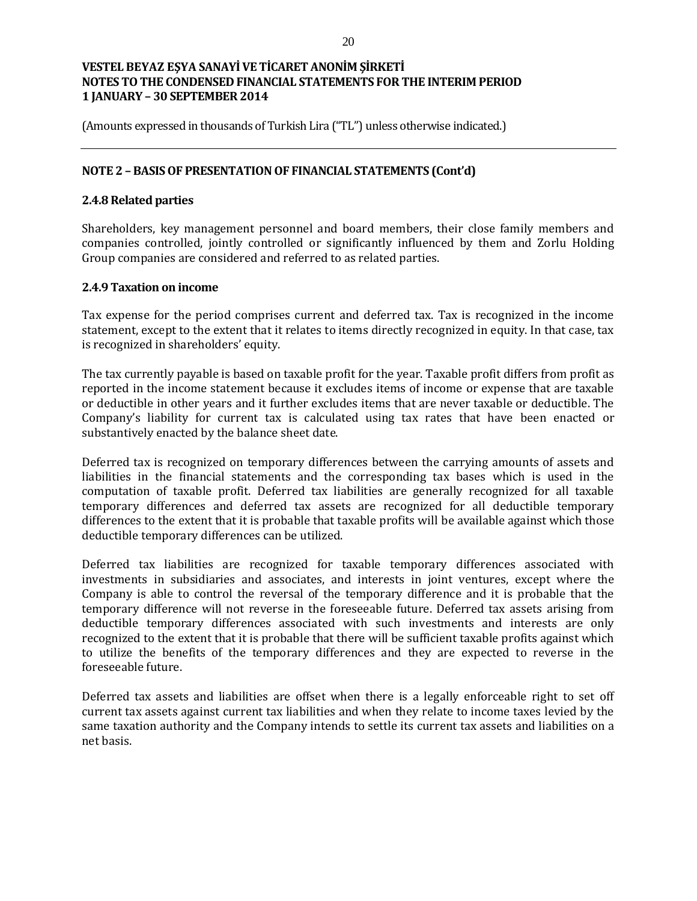(Amounts expressed in thousands of Turkish Lira ("TL") unless otherwise indicated.)

### **NOTE 2 – BASIS OF PRESENTATION OF FINANCIAL STATEMENTS (Cont'd)**

### **2.4.8 Related parties**

Shareholders, key management personnel and board members, their close family members and companies controlled, jointly controlled or significantly influenced by them and Zorlu Holding Group companies are considered and referred to as related parties.

### **2.4.9 Taxation on income**

Tax expense for the period comprises current and deferred tax. Tax is recognized in the income statement, except to the extent that it relates to items directly recognized in equity. In that case, tax is recognized in shareholders' equity.

The tax currently payable is based on taxable profit for the year. Taxable profit differs from profit as reported in the income statement because it excludes items of income or expense that are taxable or deductible in other years and it further excludes items that are never taxable or deductible. The Company's liability for current tax is calculated using tax rates that have been enacted or substantively enacted by the balance sheet date.

Deferred tax is recognized on temporary differences between the carrying amounts of assets and liabilities in the financial statements and the corresponding tax bases which is used in the computation of taxable profit. Deferred tax liabilities are generally recognized for all taxable temporary differences and deferred tax assets are recognized for all deductible temporary differences to the extent that it is probable that taxable profits will be available against which those deductible temporary differences can be utilized.

Deferred tax liabilities are recognized for taxable temporary differences associated with investments in subsidiaries and associates, and interests in joint ventures, except where the Company is able to control the reversal of the temporary difference and it is probable that the temporary difference will not reverse in the foreseeable future. Deferred tax assets arising from deductible temporary differences associated with such investments and interests are only recognized to the extent that it is probable that there will be sufficient taxable profits against which to utilize the benefits of the temporary differences and they are expected to reverse in the foreseeable future.

Deferred tax assets and liabilities are offset when there is a legally enforceable right to set off current tax assets against current tax liabilities and when they relate to income taxes levied by the same taxation authority and the Company intends to settle its current tax assets and liabilities on a net basis.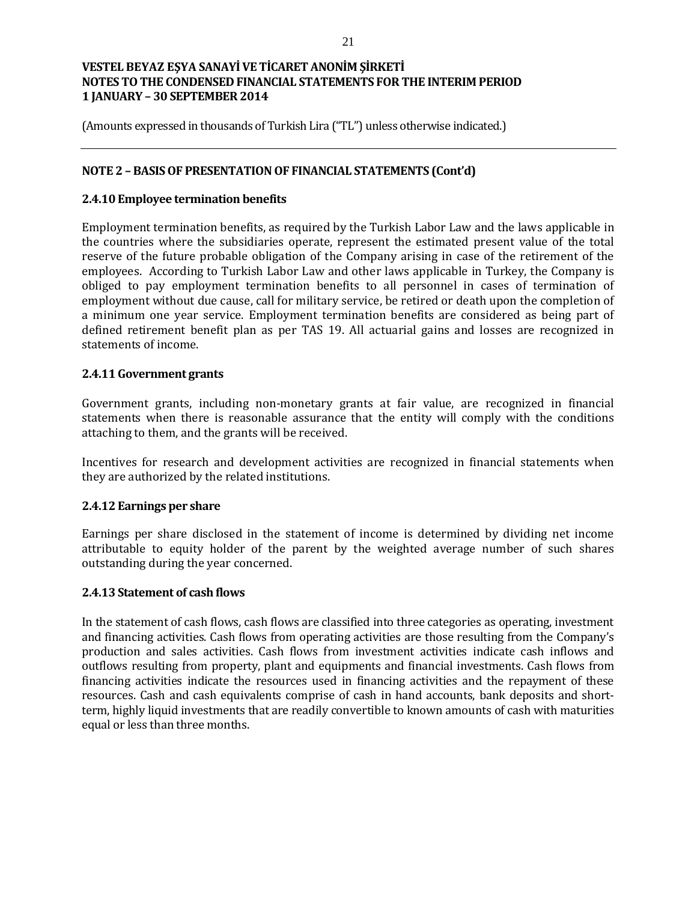(Amounts expressed in thousands of Turkish Lira ("TL") unless otherwise indicated.)

### **NOTE 2 – BASIS OF PRESENTATION OF FINANCIAL STATEMENTS (Cont'd)**

#### **2.4.10 Employee termination benefits**

Employment termination benefits, as required by the Turkish Labor Law and the laws applicable in the countries where the subsidiaries operate, represent the estimated present value of the total reserve of the future probable obligation of the Company arising in case of the retirement of the employees. According to Turkish Labor Law and other laws applicable in Turkey, the Company is obliged to pay employment termination benefits to all personnel in cases of termination of employment without due cause, call for military service, be retired or death upon the completion of a minimum one year service. Employment termination benefits are considered as being part of defined retirement benefit plan as per TAS 19. All actuarial gains and losses are recognized in statements of income.

#### **2.4.11 Government grants**

Government grants, including non-monetary grants at fair value, are recognized in financial statements when there is reasonable assurance that the entity will comply with the conditions attaching to them, and the grants will be received.

Incentives for research and development activities are recognized in financial statements when they are authorized by the related institutions.

#### **2.4.12 Earnings per share**

Earnings per share disclosed in the statement of income is determined by dividing net income attributable to equity holder of the parent by the weighted average number of such shares outstanding during the year concerned.

#### **2.4.13 Statement of cash flows**

In the statement of cash flows, cash flows are classified into three categories as operating, investment and financing activities. Cash flows from operating activities are those resulting from the Company's production and sales activities. Cash flows from investment activities indicate cash inflows and outflows resulting from property, plant and equipments and financial investments. Cash flows from financing activities indicate the resources used in financing activities and the repayment of these resources. Cash and cash equivalents comprise of cash in hand accounts, bank deposits and shortterm, highly liquid investments that are readily convertible to known amounts of cash with maturities equal or less than three months.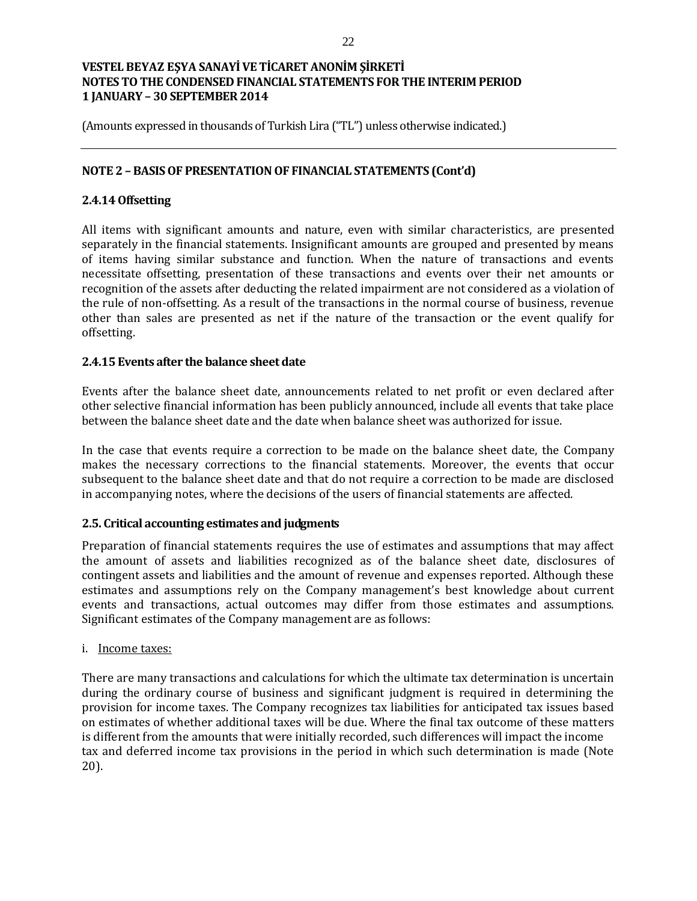(Amounts expressed in thousands of Turkish Lira ("TL") unless otherwise indicated.)

### **NOTE 2 – BASIS OF PRESENTATION OF FINANCIAL STATEMENTS (Cont'd)**

### **2.4.14 Offsetting**

All items with significant amounts and nature, even with similar characteristics, are presented separately in the financial statements. Insignificant amounts are grouped and presented by means of items having similar substance and function. When the nature of transactions and events necessitate offsetting, presentation of these transactions and events over their net amounts or recognition of the assets after deducting the related impairment are not considered as a violation of the rule of non-offsetting. As a result of the transactions in the normal course of business, revenue other than sales are presented as net if the nature of the transaction or the event qualify for offsetting.

#### **2.4.15 Events after the balance sheet date**

Events after the balance sheet date, announcements related to net profit or even declared after other selective financial information has been publicly announced, include all events that take place between the balance sheet date and the date when balance sheet was authorized for issue.

In the case that events require a correction to be made on the balance sheet date, the Company makes the necessary corrections to the financial statements. Moreover, the events that occur subsequent to the balance sheet date and that do not require a correction to be made are disclosed in accompanying notes, where the decisions of the users of financial statements are affected.

#### **2.5. Critical accounting estimates and judgments**

Preparation of financial statements requires the use of estimates and assumptions that may affect the amount of assets and liabilities recognized as of the balance sheet date, disclosures of contingent assets and liabilities and the amount of revenue and expenses reported. Although these estimates and assumptions rely on the Company management's best knowledge about current events and transactions, actual outcomes may differ from those estimates and assumptions. Significant estimates of the Company management are as follows:

#### i. Income taxes:

There are many transactions and calculations for which the ultimate tax determination is uncertain during the ordinary course of business and significant judgment is required in determining the provision for income taxes. The Company recognizes tax liabilities for anticipated tax issues based on estimates of whether additional taxes will be due. Where the final tax outcome of these matters is different from the amounts that were initially recorded, such differences will impact the income tax and deferred income tax provisions in the period in which such determination is made (Note 20).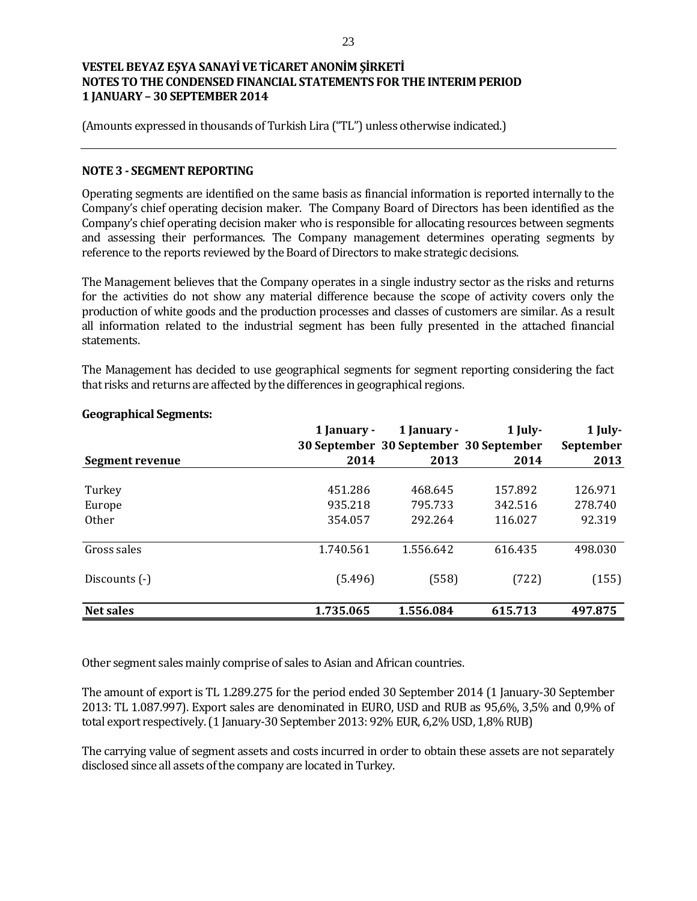(Amounts expressed in thousands of Turkish Lira ("TL") unless otherwise indicated.)

#### **NOTE 3 - SEGMENT REPORTING**

Operating segments are identified on the same basis as financial information is reported internally to the Company's chief operating decision maker. The Company Board of Directors has been identified as the Company's chief operating decision maker who is responsible for allocating resources between segments and assessing their performances. The Company management determines operating segments by reference to the reports reviewed by the Board of Directors to make strategic decisions.

The Management believes that the Company operates in a single industry sector as the risks and returns for the activities do not show any material difference because the scope of activity covers only the production of white goods and the production processes and classes of customers are similar. As a result all information related to the industrial segment has been fully presented in the attached financial statements.

The Management has decided to use geographical segments for segment reporting considering the fact that risks and returns are affected by the differences in geographical regions.

|                  | 1 January -<br>30 September 30 September 30 September | 1 January - | 1 July- | 1 July-<br>September |
|------------------|-------------------------------------------------------|-------------|---------|----------------------|
| Segment revenue  | 2014                                                  | 2013        | 2014    | 2013                 |
| Turkey           | 451.286                                               | 468.645     | 157.892 | 126.971              |
| Europe           | 935.218                                               | 795.733     | 342.516 | 278.740              |
| <b>Other</b>     | 354.057                                               | 292.264     | 116.027 | 92.319               |
| Gross sales      | 1.740.561                                             | 1.556.642   | 616.435 | 498.030              |
| Discounts (-)    | (5.496)                                               | (558)       | (722)   | (155)                |
| <b>Net sales</b> | 1.735.065                                             | 1.556.084   | 615.713 | 497.875              |

#### **Geographical Segments:**

Other segment sales mainly comprise of sales to Asian and African countries.

The amount of export is TL 1.289.275 for the period ended 30 September 2014 (1 January-30 September 2013: TL 1.087.997). Export sales are denominated in EURO, USD and RUB as 95,6%, 3,5% and 0,9% of total export respectively. (1 January-30 September 2013: 92% EUR, 6,2% USD, 1,8% RUB)

The carrying value of segment assets and costs incurred in order to obtain these assets are not separately disclosed since all assets of the company are located in Turkey.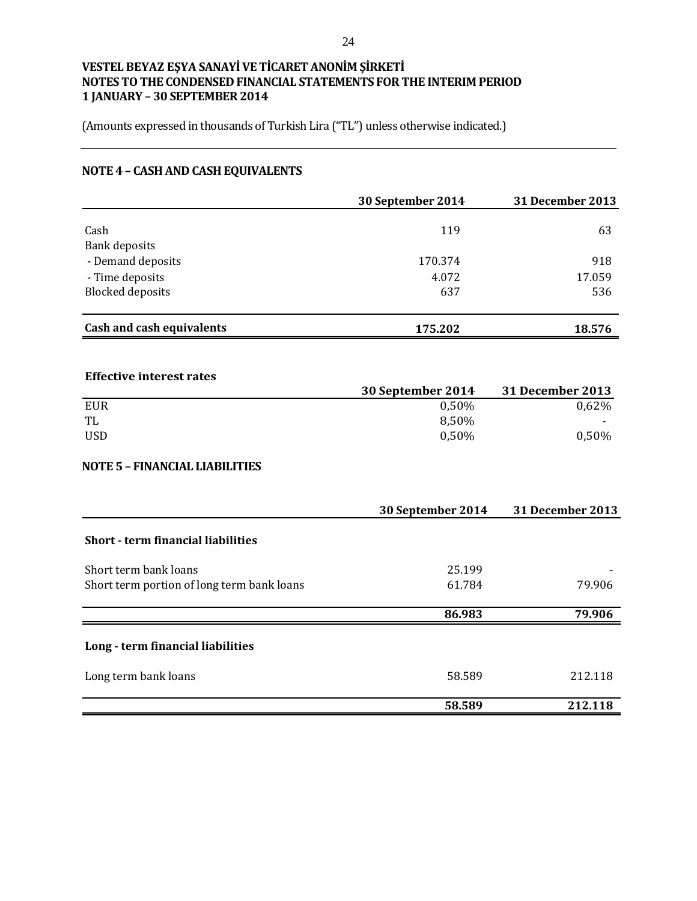(Amounts expressed in thousands of Turkish Lira ("TL") unless otherwise indicated.)

# **NOTE 4 – CASH AND CASH EQUIVALENTS**

|                                    | 30 September 2014 | <b>31 December 2013</b> |
|------------------------------------|-------------------|-------------------------|
| Cash                               | 119               | 63                      |
| Bank deposits<br>- Demand deposits | 170.374           | 918                     |
| - Time deposits                    | 4.072             | 17.059                  |
| <b>Blocked deposits</b>            | 637               | 536                     |
| Cash and cash equivalents          | 175.202           | 18.576                  |

### **Effective interest rates**

|            | 30 September 2014 | <b>31 December 2013</b> |
|------------|-------------------|-------------------------|
| EUR        | 0.50%             | 0,62%                   |
| TL         | 8.50%             | $\sim$                  |
| <b>USD</b> | 0.50%             | 0,50%                   |

#### **NOTE 5 – FINANCIAL LIABILITIES**

|                                            | 30 September 2014 | <b>31 December 2013</b> |
|--------------------------------------------|-------------------|-------------------------|
| Short - term financial liabilities         |                   |                         |
| Short term bank loans                      | 25.199            |                         |
| Short term portion of long term bank loans | 61.784            | 79.906                  |
|                                            | 86.983            | 79.906                  |
| Long - term financial liabilities          |                   |                         |
| Long term bank loans                       | 58.589            | 212.118                 |
|                                            | 58.589            | 212.118                 |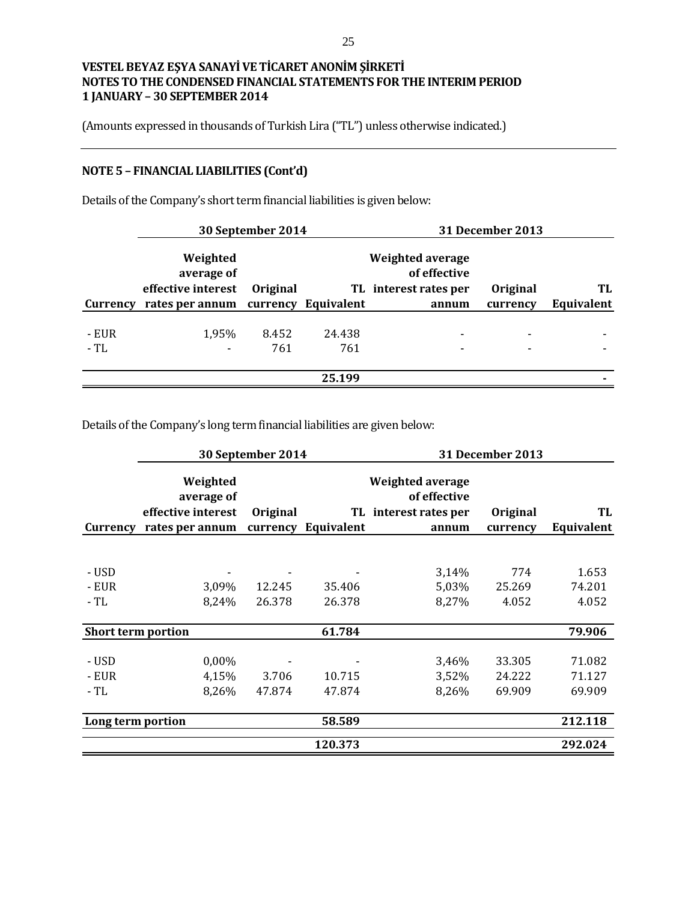(Amounts expressed in thousands of Turkish Lira ("TL") unless otherwise indicated.)

# **NOTE 5 – FINANCIAL LIABILITIES (Cont'd)**

|       |                                              | 30 September 2014 |        |                                                           | <b>31 December 2013</b> |            |
|-------|----------------------------------------------|-------------------|--------|-----------------------------------------------------------|-------------------------|------------|
|       | Weighted<br>average of<br>effective interest | Original          |        | Weighted average<br>of effective<br>TL interest rates per | Original                | TL         |
|       | Currency rates per annum currency Equivalent |                   |        | annum                                                     | currency                | Equivalent |
|       |                                              |                   |        |                                                           |                         |            |
| - EUR | 1,95%                                        | 8.452             | 24.438 | ۰                                                         |                         |            |
| - TL  |                                              | 761               | 761    |                                                           |                         |            |
|       |                                              |                   |        |                                                           |                         |            |
|       |                                              |                   | 25.199 |                                                           |                         |            |

Details of the Company's short term financial liabilities is given below:

Details of the Company's long term financial liabilities are given below:

|                           |                                                                 | 30 September 2014<br><b>31 December 2013</b> |            |                                                                    |                      |                  |
|---------------------------|-----------------------------------------------------------------|----------------------------------------------|------------|--------------------------------------------------------------------|----------------------|------------------|
| Currency                  | Weighted<br>average of<br>effective interest<br>rates per annum | Original<br>currency                         | Equivalent | Weighted average<br>of effective<br>TL interest rates per<br>annum | Original<br>currency | TL<br>Equivalent |
|                           |                                                                 |                                              |            |                                                                    |                      |                  |
| - USD                     |                                                                 |                                              |            | 3,14%                                                              | 774                  | 1.653            |
| - EUR                     | 3,09%                                                           | 12.245                                       | 35.406     | 5,03%                                                              | 25.269               | 74.201           |
| - TL                      | 8,24%                                                           | 26.378                                       | 26.378     | 8,27%                                                              | 4.052                | 4.052            |
| <b>Short term portion</b> |                                                                 |                                              | 61.784     |                                                                    |                      | 79.906           |
| - USD                     | 0,00%                                                           |                                              |            | 3,46%                                                              | 33.305               | 71.082           |
| - EUR                     | 4,15%                                                           | 3.706                                        | 10.715     | 3,52%                                                              | 24.222               | 71.127           |
| - TL                      | 8,26%                                                           | 47.874                                       | 47.874     | 8,26%                                                              | 69.909               | 69.909           |
| Long term portion         |                                                                 |                                              | 58.589     |                                                                    |                      | 212.118          |
|                           |                                                                 |                                              | 120.373    |                                                                    |                      | 292.024          |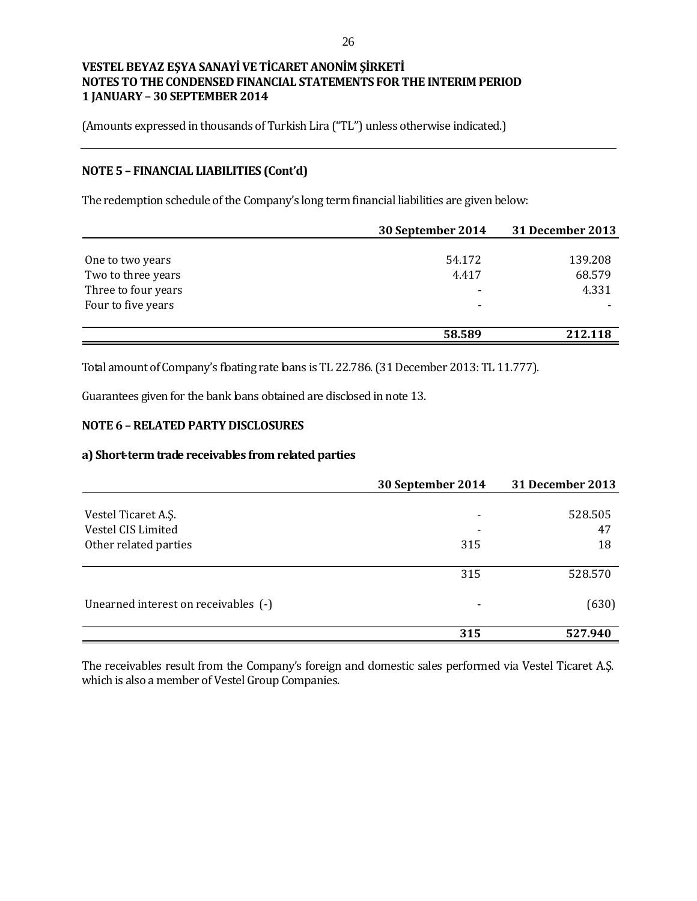(Amounts expressed in thousands of Turkish Lira ("TL") unless otherwise indicated.)

### **NOTE 5 – FINANCIAL LIABILITIES (Cont'd)**

The redemption schedule of the Company's long term financial liabilities are given below:

|                     | 30 September 2014 | <b>31 December 2013</b> |
|---------------------|-------------------|-------------------------|
|                     |                   |                         |
| One to two years    | 54.172            | 139.208                 |
| Two to three years  | 4.417             | 68.579                  |
| Three to four years | $\qquad \qquad$   | 4.331                   |
| Four to five years  | ٠                 |                         |
|                     |                   |                         |
|                     | 58.589            | 212.118                 |

Total amount of Company's floating rate loans is TL 22.786. (31 December 2013: TL 11.777).

Guarantees given for the bank loans obtained are disclosed in note 13.

### **NOTE 6 –RELATED PARTY DISCLOSURES**

#### **a) Short-term trade receivables from related parties**

|                                      | 30 September 2014 | <b>31 December 2013</b> |
|--------------------------------------|-------------------|-------------------------|
|                                      |                   |                         |
| Vestel Ticaret A.S.                  | -                 | 528.505                 |
| Vestel CIS Limited                   |                   | 47                      |
| Other related parties                | 315               | 18                      |
|                                      |                   |                         |
|                                      | 315               | 528.570                 |
| Unearned interest on receivables (-) | -                 | (630)                   |
|                                      | 315               | 527.940                 |

The receivables result from the Company's foreign and domestic sales performed via Vestel Ticaret A.Ş. which is also a member of Vestel Group Companies.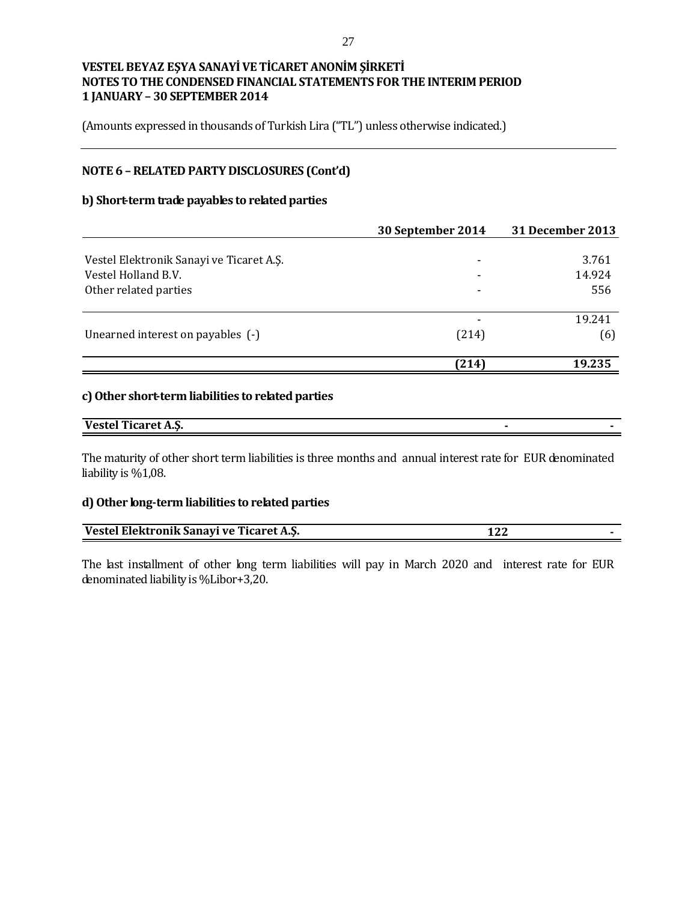(Amounts expressed in thousands of Turkish Lira ("TL") unless otherwise indicated.)

### **NOTE 6 –RELATED PARTY DISCLOSURES (Cont'd)**

### **b) Short-term trade payables to related parties**

|                                          | 30 September 2014        | 31 December 2013 |
|------------------------------------------|--------------------------|------------------|
|                                          |                          |                  |
| Vestel Elektronik Sanayi ve Ticaret A.Ş. | $\overline{\phantom{0}}$ | 3.761            |
| Vestel Holland B.V.                      |                          | 14.924           |
| Other related parties                    | $\overline{\phantom{0}}$ | 556              |
|                                          |                          | 19.241           |
| Unearned interest on payables (-)        | (214)                    | (6)              |
|                                          |                          |                  |
|                                          | (214)                    | 19.235           |

#### **c) Other short-term liabilities to related parties**

| <b>Vestel Ticaret A.S.</b> |  |
|----------------------------|--|

The maturity of other short term liabilities is three months and annual interest rate for EUR denominated liability is %1,08.

#### **d) Other long-term liabilities to related parties**

| Vestel Elektronik Sanayi ve Ticaret A.Ş. |  |
|------------------------------------------|--|

The last installment of other long term liabilities will pay in March 2020 and interest rate for EUR denominated liability is %Libor+3,20.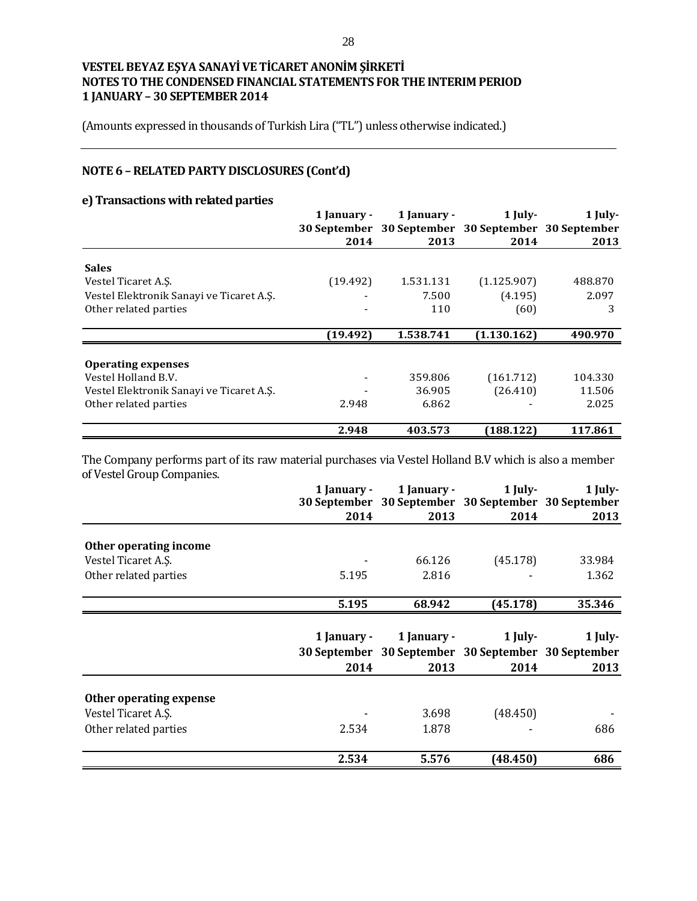(Amounts expressed in thousands of Turkish Lira ("TL") unless otherwise indicated.)

# **NOTE 6 –RELATED PARTY DISCLOSURES (Cont'd)**

### **e) Transactions with related parties**

|                                          | 1 January -         | 1 January - | $1$ July-                              | 1 July- |
|------------------------------------------|---------------------|-------------|----------------------------------------|---------|
|                                          | <b>30 September</b> |             | 30 September 30 September 30 September |         |
|                                          | 2014                | 2013        | 2014                                   | 2013    |
| <b>Sales</b>                             |                     |             |                                        |         |
| Vestel Ticaret A.S.                      | (19.492)            | 1.531.131   | (1.125.907)                            | 488.870 |
| Vestel Elektronik Sanayi ve Ticaret A.Ş. |                     | 7.500       | (4.195)                                | 2.097   |
| Other related parties                    |                     | 110         | (60)                                   | 3       |
|                                          | (19.492)            | 1.538.741   | (1.130.162)                            | 490.970 |
| <b>Operating expenses</b>                |                     |             |                                        |         |
| Vestel Holland B.V.                      |                     | 359.806     | (161.712)                              | 104.330 |
| Vestel Elektronik Sanayi ve Ticaret A.Ş. |                     | 36.905      | (26.410)                               | 11.506  |
| Other related parties                    | 2.948               | 6.862       |                                        | 2.025   |
|                                          | 2.948               | 403.573     | (188.122)                              | 117.861 |

The Company performs part of its raw material purchases via Vestel Holland B.V which is also a member of Vestel Group Companies.

|                         | 1 January - | 1 January -<br>30 September 30 September 30 September 30 September | $1$ July- | 1 July- |
|-------------------------|-------------|--------------------------------------------------------------------|-----------|---------|
|                         | 2014        | 2013                                                               | 2014      | 2013    |
| Other operating income  |             |                                                                    |           |         |
| Vestel Ticaret A.S.     |             | 66.126                                                             | (45.178)  | 33.984  |
| Other related parties   | 5.195       | 2.816                                                              |           | 1.362   |
|                         | 5.195       | 68.942                                                             | (45.178)  | 35.346  |
|                         | 1 January - | 1 January -<br>30 September 30 September 30 September 30 September | $1$ July- | 1 July- |
|                         | 2014        | 2013                                                               | 2014      | 2013    |
| Other operating expense |             |                                                                    |           |         |
| Vestel Ticaret A.S.     |             | 3.698                                                              | (48.450)  |         |
| Other related parties   | 2.534       | 1.878                                                              |           | 686     |
|                         | 2.534       | 5.576                                                              | (48.450)  | 686     |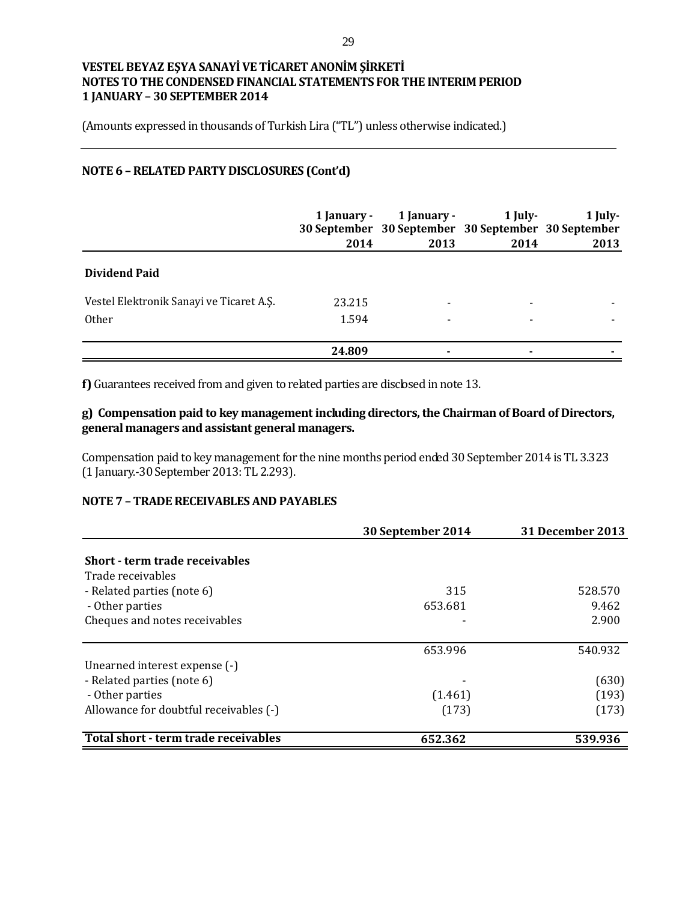(Amounts expressed in thousands of Turkish Lira ("TL") unless otherwise indicated.)

### **NOTE 6 –RELATED PARTY DISCLOSURES (Cont'd)**

|                                          | 1 January -<br>2014 | 1 January -<br>30 September 30 September 30 September 30 September<br>2013 | $1$ July-<br>2014 | $1$ July-<br>2013 |
|------------------------------------------|---------------------|----------------------------------------------------------------------------|-------------------|-------------------|
| <b>Dividend Paid</b>                     |                     |                                                                            |                   |                   |
| Vestel Elektronik Sanayi ve Ticaret A.S. | 23.215              |                                                                            |                   |                   |
| <b>Other</b>                             | 1.594               |                                                                            |                   |                   |
|                                          | 24.809              | $\blacksquare$                                                             |                   |                   |

**f)** Guarantees received from and given to related parties are disclosed in note 13.

### **g) Compensation paid to key management including directors, the Chairman of Board of Directors, general managers and assistant general managers.**

Compensation paid to key management for the nine months period ended 30 September 2014 is TL 3.323 (1 January.-30 September 2013: TL 2.293).

### **NOTE 7 – TRADE RECEIVABLES AND PAYABLES**

|                                        | 30 September 2014 | <b>31 December 2013</b> |
|----------------------------------------|-------------------|-------------------------|
|                                        |                   |                         |
| Short - term trade receivables         |                   |                         |
| Trade receivables                      |                   |                         |
| - Related parties (note 6)             | 315               | 528.570                 |
| - Other parties                        | 653.681           | 9.462                   |
| Cheques and notes receivables          |                   | 2.900                   |
|                                        | 653.996           | 540.932                 |
| Unearned interest expense (-)          |                   |                         |
| - Related parties (note 6)             |                   | (630)                   |
| - Other parties                        | (1.461)           | (193)                   |
| Allowance for doubtful receivables (-) | (173)             | (173)                   |
| Total short - term trade receivables   | 652.362           | 539.936                 |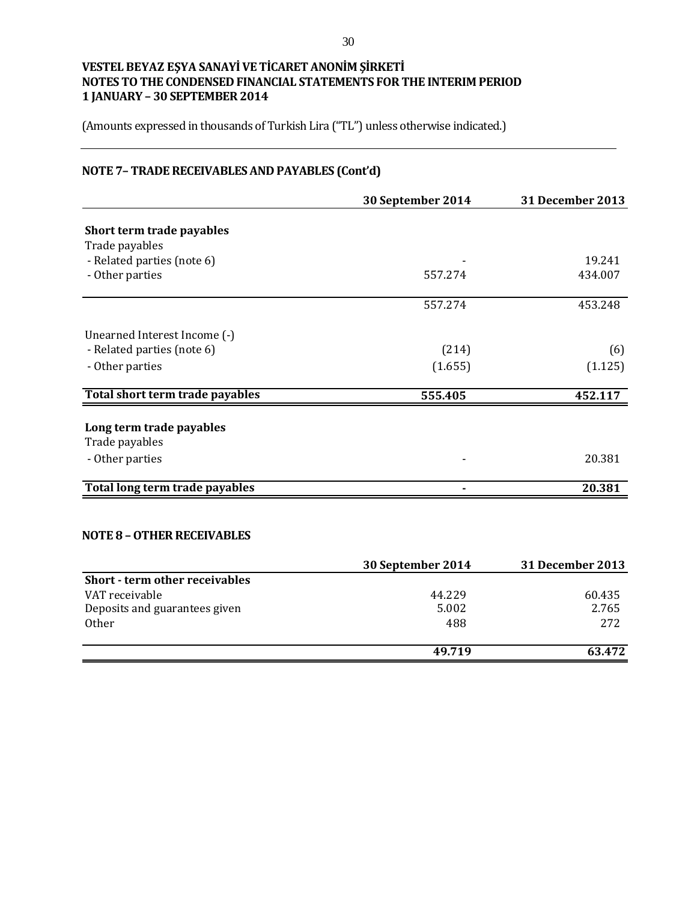(Amounts expressed in thousands of Turkish Lira ("TL") unless otherwise indicated.)

# **NOTE 7– TRADE RECEIVABLES AND PAYABLES (Cont'd)**

|                                 | 30 September 2014 | <b>31 December 2013</b> |
|---------------------------------|-------------------|-------------------------|
| Short term trade payables       |                   |                         |
| Trade payables                  |                   |                         |
|                                 |                   | 19.241                  |
| - Related parties (note 6)      |                   |                         |
| - Other parties                 | 557.274           | 434.007                 |
|                                 | 557.274           | 453.248                 |
| Unearned Interest Income (-)    |                   |                         |
| - Related parties (note 6)      | (214)             | (6)                     |
| - Other parties                 | (1.655)           | (1.125)                 |
| Total short term trade payables | 555.405           | 452.117                 |
| Long term trade payables        |                   |                         |
| Trade payables                  |                   |                         |
| - Other parties                 |                   | 20.381                  |
|                                 |                   |                         |
| Total long term trade payables  |                   | 20.381                  |

### **NOTE 8 –OTHER RECEIVABLES**

|                                | 30 September 2014 | <b>31 December 2013</b> |
|--------------------------------|-------------------|-------------------------|
| Short - term other receivables |                   |                         |
| VAT receivable                 | 44.229            | 60.435                  |
| Deposits and guarantees given  | 5.002             | 2.765                   |
| Other                          | 488               | 272                     |
|                                | 49.719            | 63.472                  |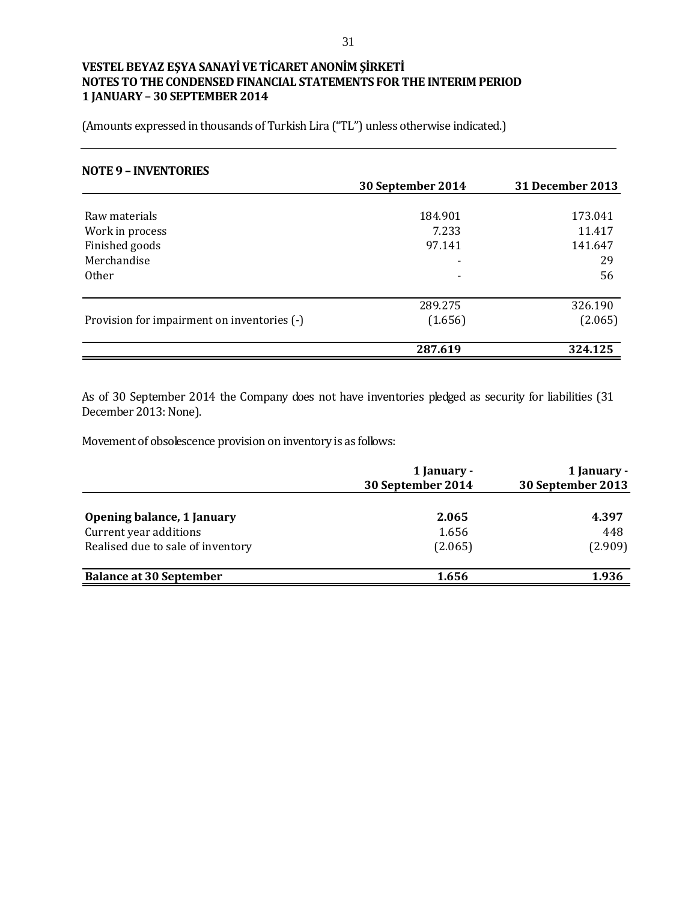(Amounts expressed in thousands of Turkish Lira ("TL") unless otherwise indicated.)

#### **NOTE 9 – INVENTORIES**

|                                             | 30 September 2014 | 31 December 2013 |
|---------------------------------------------|-------------------|------------------|
|                                             |                   |                  |
| Raw materials                               | 184.901           | 173.041          |
| Work in process                             | 7.233             | 11.417           |
| Finished goods                              | 97.141            | 141.647          |
| Merchandise                                 | ۰                 | 29               |
| <b>Other</b>                                |                   | 56               |
|                                             |                   |                  |
|                                             | 289.275           | 326.190          |
| Provision for impairment on inventories (-) | (1.656)           | (2.065)          |
|                                             | 287.619           | 324.125          |

As of 30 September 2014 the Company does not have inventories pledged as security for liabilities (31 December 2013: None).

Movement of obsolescence provision on inventory is as follows:

|                                   | 1 January -<br>30 September 2014 | 1 January -<br>30 September 2013 |  |
|-----------------------------------|----------------------------------|----------------------------------|--|
| <b>Opening balance, 1 January</b> | 2.065                            | 4.397                            |  |
| Current year additions            | 1.656                            | 448                              |  |
| Realised due to sale of inventory | (2.065)                          | (2.909)                          |  |
| <b>Balance at 30 September</b>    | 1.656                            | 1.936                            |  |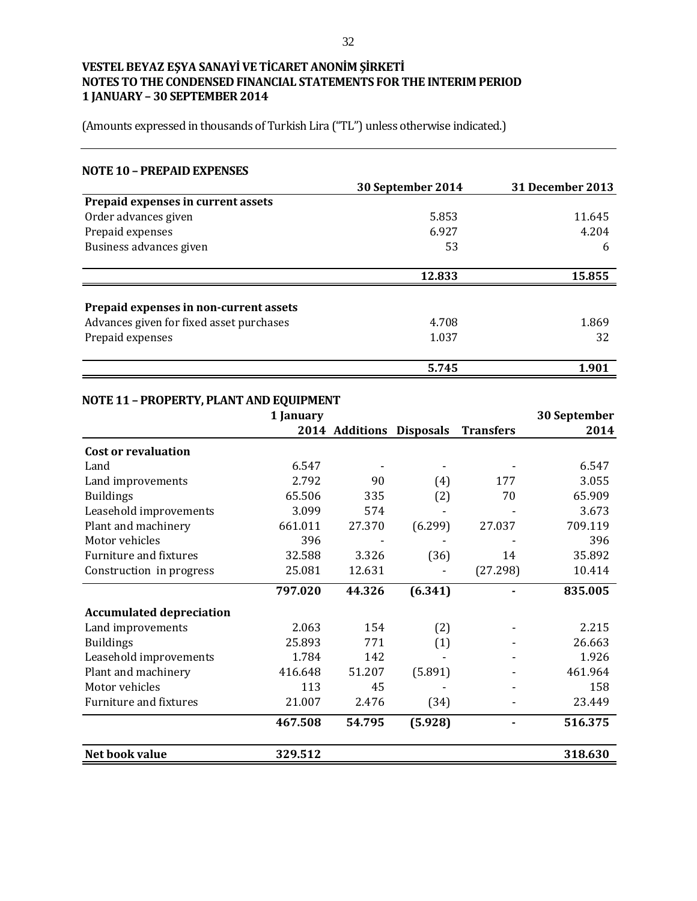(Amounts expressed in thousands of Turkish Lira ("TL") unless otherwise indicated.)

#### **NOTE 10 – PREPAID EXPENSES**

|                                          | 30 September 2014 | 31 December 2013 |
|------------------------------------------|-------------------|------------------|
| Prepaid expenses in current assets       |                   |                  |
| Order advances given                     | 5.853             | 11.645           |
| Prepaid expenses                         | 6.927             | 4.204            |
| Business advances given                  | 53                | 6                |
|                                          | 12.833            | 15.855           |
| Prepaid expenses in non-current assets   |                   |                  |
| Advances given for fixed asset purchases | 4.708             | 1.869            |
| Prepaid expenses                         | 1.037             | 32               |
|                                          | 5.745             | 1.901            |

# **NOTE 11 – PROPERTY, PLANT AND EQUIPMENT**

|                                 | 1 January |                          |         |                  | 30 September |
|---------------------------------|-----------|--------------------------|---------|------------------|--------------|
|                                 |           | 2014 Additions Disposals |         | <b>Transfers</b> | 2014         |
| <b>Cost or revaluation</b>      |           |                          |         |                  |              |
| Land                            | 6.547     |                          |         |                  | 6.547        |
| Land improvements               | 2.792     | 90                       | (4)     | 177              | 3.055        |
| <b>Buildings</b>                | 65.506    | 335                      | (2)     | 70               | 65.909       |
| Leasehold improvements          | 3.099     | 574                      |         |                  | 3.673        |
| Plant and machinery             | 661.011   | 27.370                   | (6.299) | 27.037           | 709.119      |
| Motor vehicles                  | 396       |                          |         |                  | 396          |
| Furniture and fixtures          | 32.588    | 3.326                    | (36)    | 14               | 35.892       |
| Construction in progress        | 25.081    | 12.631                   |         | (27.298)         | 10.414       |
|                                 | 797.020   | 44.326                   | (6.341) |                  | 835.005      |
| <b>Accumulated depreciation</b> |           |                          |         |                  |              |
| Land improvements               | 2.063     | 154                      | (2)     |                  | 2.215        |
| <b>Buildings</b>                | 25.893    | 771                      | (1)     |                  | 26.663       |
| Leasehold improvements          | 1.784     | 142                      |         |                  | 1.926        |
| Plant and machinery             | 416.648   | 51.207                   | (5.891) |                  | 461.964      |
| Motor vehicles                  | 113       | 45                       |         |                  | 158          |
| Furniture and fixtures          | 21.007    | 2.476                    | (34)    |                  | 23.449       |
|                                 | 467.508   | 54.795                   | (5.928) |                  | 516.375      |
| Net book value                  | 329.512   |                          |         |                  | 318.630      |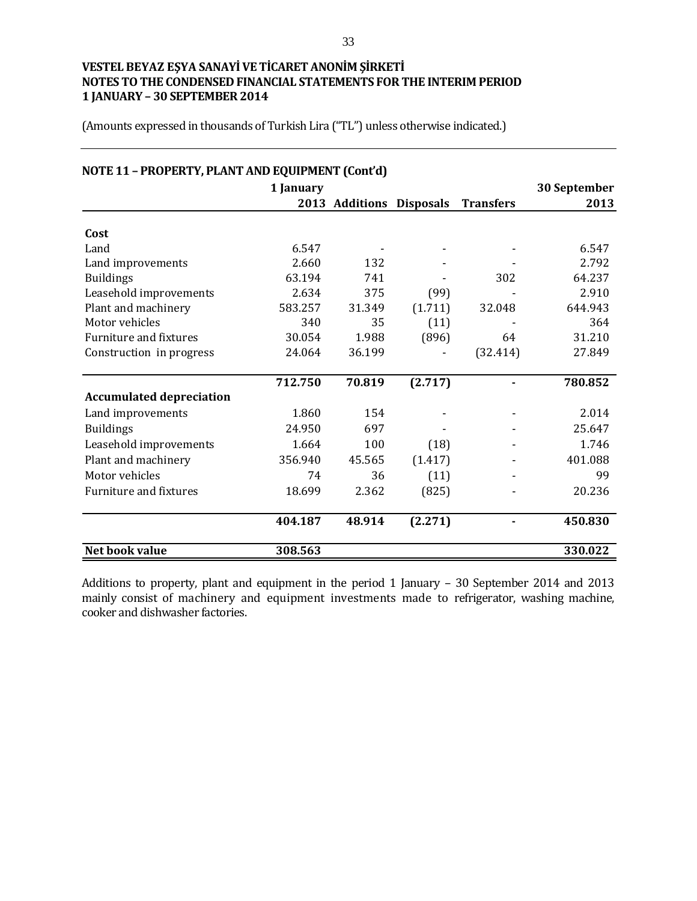(Amounts expressed in thousands of Turkish Lira ("TL") unless otherwise indicated.)

|                                 | 1 January |                          |         |                  | 30 September |
|---------------------------------|-----------|--------------------------|---------|------------------|--------------|
|                                 |           | 2013 Additions Disposals |         | <b>Transfers</b> | 2013         |
| Cost                            |           |                          |         |                  |              |
| Land                            | 6.547     |                          |         |                  | 6.547        |
| Land improvements               | 2.660     | 132                      |         |                  | 2.792        |
| <b>Buildings</b>                | 63.194    | 741                      |         | 302              | 64.237       |
| Leasehold improvements          | 2.634     | 375                      | (99)    |                  | 2.910        |
| Plant and machinery             | 583.257   | 31.349                   | (1.711) | 32.048           | 644.943      |
| Motor vehicles                  | 340       | 35                       | (11)    |                  | 364          |
| Furniture and fixtures          | 30.054    | 1.988                    | (896)   | 64               | 31.210       |
| Construction in progress        | 24.064    | 36.199                   |         | (32.414)         | 27.849       |
|                                 | 712.750   | 70.819                   | (2.717) |                  | 780.852      |
| <b>Accumulated depreciation</b> |           |                          |         |                  |              |
| Land improvements               | 1.860     | 154                      |         |                  | 2.014        |
| <b>Buildings</b>                | 24.950    | 697                      |         |                  | 25.647       |
| Leasehold improvements          | 1.664     | 100                      | (18)    |                  | 1.746        |
| Plant and machinery             | 356.940   | 45.565                   | (1.417) |                  | 401.088      |
| Motor vehicles                  | 74        | 36                       | (11)    |                  | 99           |
| <b>Furniture and fixtures</b>   | 18.699    | 2.362                    | (825)   |                  | 20.236       |
|                                 | 404.187   | 48.914                   | (2.271) |                  | 450.830      |
| Net book value                  | 308.563   |                          |         |                  | 330.022      |

Additions to property, plant and equipment in the period 1 January – 30 September 2014 and 2013 mainly consist of machinery and equipment investments made to refrigerator, washing machine, cooker and dishwasher factories.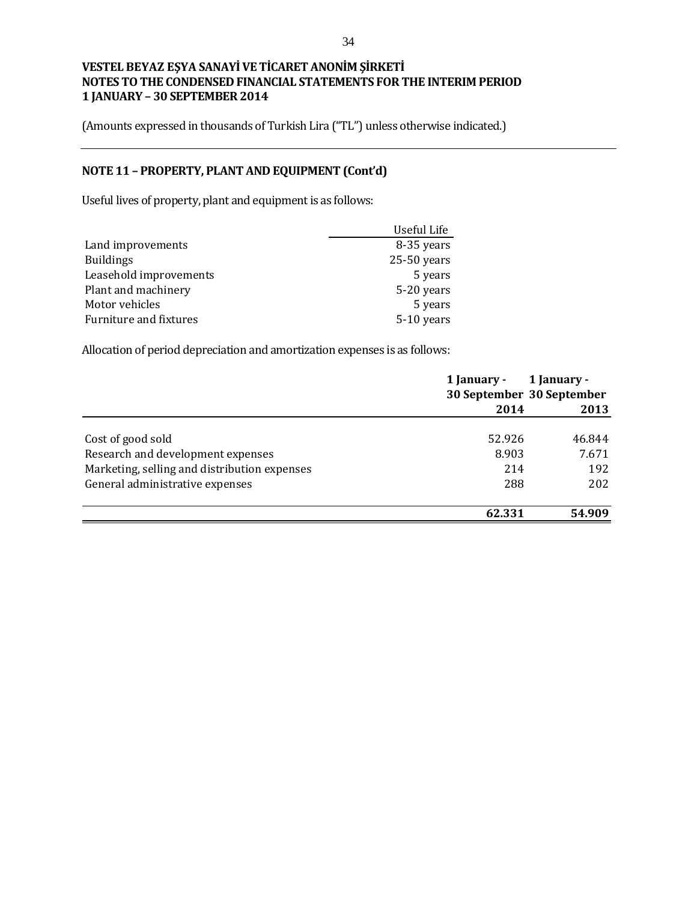(Amounts expressed in thousands of Turkish Lira ("TL") unless otherwise indicated.)

# **NOTE 11 – PROPERTY, PLANT AND EQUIPMENT (Cont'd)**

Useful lives of property, plant and equipment is as follows:

|                        | Useful Life   |
|------------------------|---------------|
| Land improvements      | 8-35 years    |
| <b>Buildings</b>       | $25-50$ years |
| Leasehold improvements | 5 years       |
| Plant and machinery    | 5-20 years    |
| Motor vehicles         | 5 years       |
| Furniture and fixtures | 5-10 years    |

Allocation of period depreciation and amortization expenses is as follows:

|                                              | 1 January - | 1 January -<br>30 September 30 September |
|----------------------------------------------|-------------|------------------------------------------|
|                                              | 2014        | 2013                                     |
| Cost of good sold                            | 52.926      | 46.844                                   |
| Research and development expenses            | 8.903       | 7.671                                    |
| Marketing, selling and distribution expenses | 214         | 192                                      |
| General administrative expenses              | 288         | 202                                      |
|                                              | 62.331      | 54.909                                   |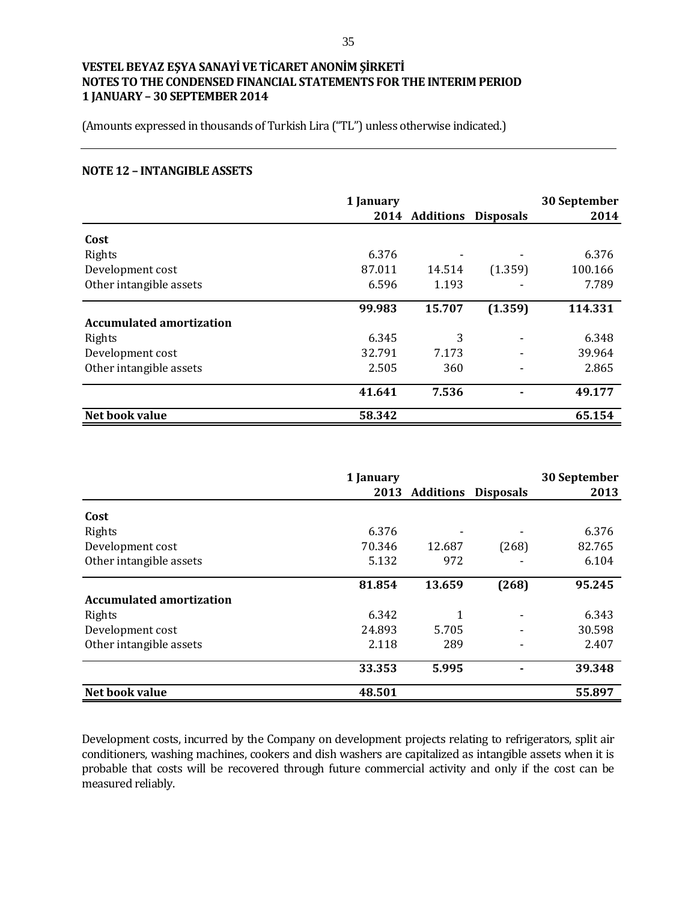(Amounts expressed in thousands of Turkish Lira ("TL") unless otherwise indicated.)

#### **NOTE 12 – INTANGIBLE ASSETS**

|                                 | 1 January |                          |         | 30 September |
|---------------------------------|-----------|--------------------------|---------|--------------|
|                                 |           | 2014 Additions Disposals |         | 2014         |
| Cost                            |           |                          |         |              |
| Rights                          | 6.376     |                          |         | 6.376        |
| Development cost                | 87.011    | 14.514                   | (1.359) | 100.166      |
| Other intangible assets         | 6.596     | 1.193                    |         | 7.789        |
|                                 | 99.983    | 15.707                   | (1.359) | 114.331      |
| <b>Accumulated amortization</b> |           |                          |         |              |
| Rights                          | 6.345     | 3                        |         | 6.348        |
| Development cost                | 32.791    | 7.173                    |         | 39.964       |
| Other intangible assets         | 2.505     | 360                      |         | 2.865        |
|                                 | 41.641    | 7.536                    |         | 49.177       |
| Net book value                  | 58.342    |                          |         | 65.154       |

|                                 | 1 January |                            |       | 30 September |
|---------------------------------|-----------|----------------------------|-------|--------------|
|                                 | 2013      | <b>Additions Disposals</b> |       | 2013         |
| Cost                            |           |                            |       |              |
| Rights                          | 6.376     |                            |       | 6.376        |
| Development cost                | 70.346    | 12.687                     | (268) | 82.765       |
| Other intangible assets         | 5.132     | 972                        |       | 6.104        |
|                                 | 81.854    | 13.659                     | (268) | 95.245       |
| <b>Accumulated amortization</b> |           |                            |       |              |
| Rights                          | 6.342     | 1                          |       | 6.343        |
| Development cost                | 24.893    | 5.705                      |       | 30.598       |
| Other intangible assets         | 2.118     | 289                        |       | 2.407        |
|                                 | 33.353    | 5.995                      |       | 39.348       |
| Net book value                  | 48.501    |                            |       | 55.897       |

Development costs, incurred by the Company on development projects relating to refrigerators, split air conditioners, washing machines, cookers and dish washers are capitalized as intangible assets when it is probable that costs will be recovered through future commercial activity and only if the cost can be measured reliably.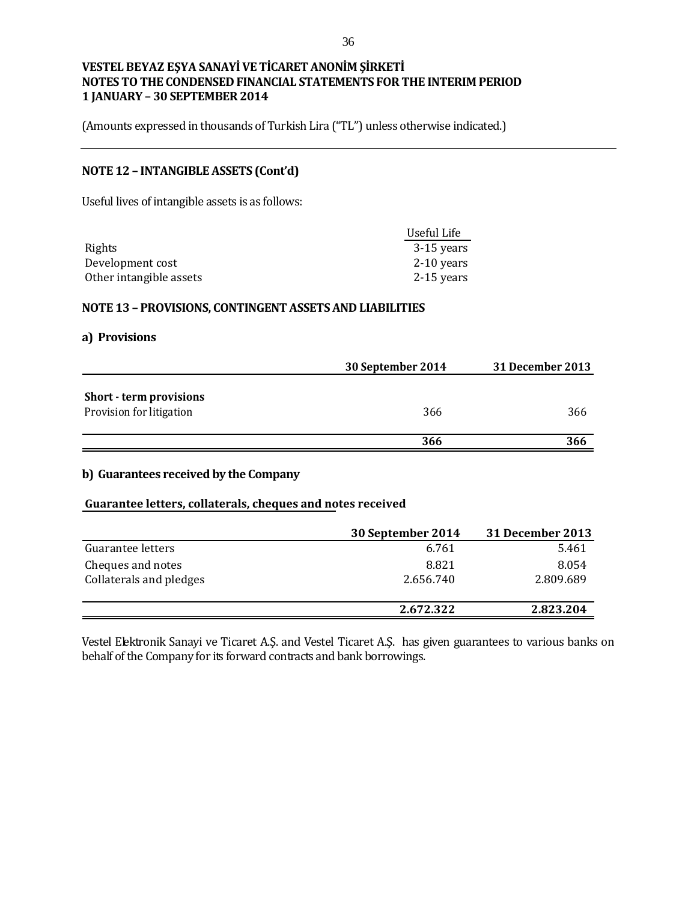(Amounts expressed in thousands of Turkish Lira ("TL") unless otherwise indicated.)

### **NOTE 12 – INTANGIBLE ASSETS (Cont'd)**

Useful lives of intangible assets is as follows:

|                         | Useful Life  |
|-------------------------|--------------|
| Rights                  | 3-15 years   |
| Development cost        | $2-10$ years |
| Other intangible assets | 2-15 years   |

#### **NOTE 13 – PROVISIONS, CONTINGENT ASSETS AND LIABILITIES**

#### **a) Provisions**

|                                                            | 30 September 2014 | 31 December 2013 |
|------------------------------------------------------------|-------------------|------------------|
| <b>Short - term provisions</b><br>Provision for litigation | 366               | 366              |
|                                                            | 366               | 366              |

#### **b) Guarantees received by the Company**

#### **Guarantee letters, collaterals, cheques and notes received**

|                         | 30 September 2014 | <b>31 December 2013</b> |
|-------------------------|-------------------|-------------------------|
| Guarantee letters       | 6.761             | 5.461                   |
| Cheques and notes       | 8.821             | 8.054                   |
| Collaterals and pledges | 2.656.740         | 2.809.689               |
|                         |                   |                         |
|                         | 2.672.322         | 2.823.204               |

Vestel Elektronik Sanayi ve Ticaret A.Ş. and Vestel Ticaret A.Ş. has given guarantees to various banks on behalf of the Company for its forward contracts and bank borrowings.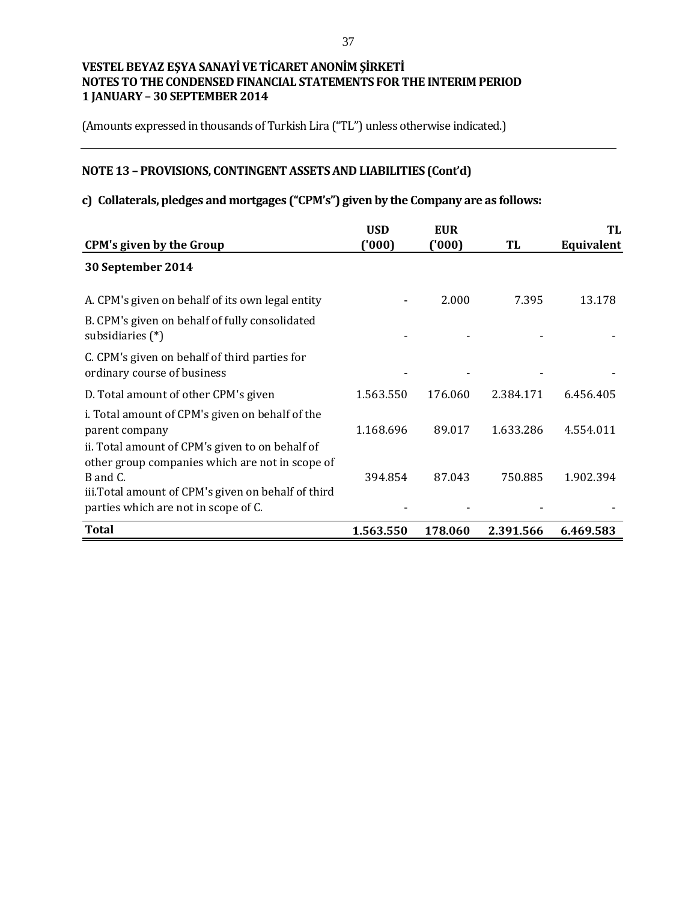(Amounts expressed in thousands of Turkish Lira ("TL") unless otherwise indicated.)

# **NOTE 13 – PROVISIONS, CONTINGENT ASSETS AND LIABILITIES (Cont'd)**

# **c) Collaterals, pledges and mortgages ("CPM's") given by the Company are as follows:**

|                                                                                                                                                                         | <b>USD</b> | <b>EUR</b> |           | TL         |
|-------------------------------------------------------------------------------------------------------------------------------------------------------------------------|------------|------------|-----------|------------|
| <b>CPM's given by the Group</b>                                                                                                                                         | ('000'     | ('000)     | TL        | Equivalent |
| 30 September 2014                                                                                                                                                       |            |            |           |            |
| A. CPM's given on behalf of its own legal entity                                                                                                                        |            | 2.000      | 7.395     | 13.178     |
| B. CPM's given on behalf of fully consolidated<br>subsidiaries (*)                                                                                                      |            |            |           |            |
| C. CPM's given on behalf of third parties for<br>ordinary course of business                                                                                            |            |            |           |            |
| D. Total amount of other CPM's given                                                                                                                                    | 1.563.550  | 176.060    | 2.384.171 | 6.456.405  |
| i. Total amount of CPM's given on behalf of the<br>parent company<br>ii. Total amount of CPM's given to on behalf of<br>other group companies which are not in scope of | 1.168.696  | 89.017     | 1.633.286 | 4.554.011  |
| B and C.<br>iii. Total amount of CPM's given on behalf of third<br>parties which are not in scope of C.                                                                 | 394.854    | 87.043     | 750.885   | 1.902.394  |
| Total                                                                                                                                                                   | 1.563.550  | 178.060    | 2.391.566 | 6.469.583  |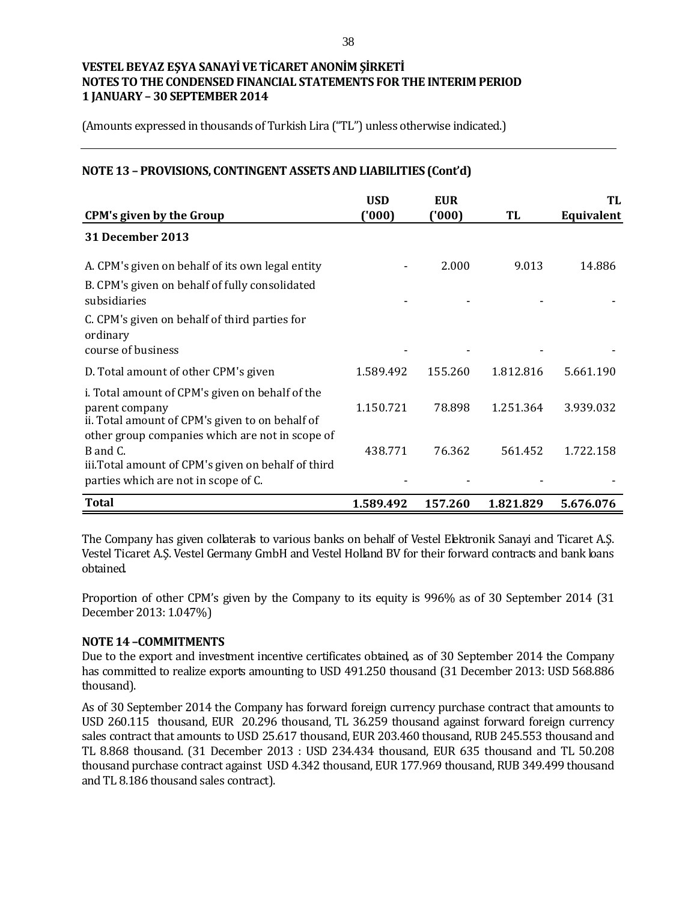(Amounts expressed in thousands of Turkish Lira ("TL") unless otherwise indicated.)

#### **NOTE 13 – PROVISIONS, CONTINGENT ASSETS AND LIABILITIES (Cont'd)**

|                                                                                                                                                                         | <b>USD</b> | <b>EUR</b> |           | TL         |
|-------------------------------------------------------------------------------------------------------------------------------------------------------------------------|------------|------------|-----------|------------|
| <b>CPM's given by the Group</b>                                                                                                                                         | ('000'     | ('000)     | TL        | Equivalent |
| 31 December 2013                                                                                                                                                        |            |            |           |            |
| A. CPM's given on behalf of its own legal entity                                                                                                                        |            | 2.000      | 9.013     | 14.886     |
| B. CPM's given on behalf of fully consolidated<br>subsidiaries                                                                                                          |            |            |           |            |
| C. CPM's given on behalf of third parties for<br>ordinary<br>course of business                                                                                         |            |            |           |            |
| D. Total amount of other CPM's given                                                                                                                                    | 1.589.492  | 155.260    | 1.812.816 | 5.661.190  |
| i. Total amount of CPM's given on behalf of the<br>parent company<br>ii. Total amount of CPM's given to on behalf of<br>other group companies which are not in scope of | 1.150.721  | 78.898     | 1.251.364 | 3.939.032  |
| B and C.<br>iii. Total amount of CPM's given on behalf of third<br>parties which are not in scope of C.                                                                 | 438.771    | 76.362     | 561.452   | 1.722.158  |
| <b>Total</b>                                                                                                                                                            | 1.589.492  | 157.260    | 1.821.829 | 5.676.076  |

The Company has given collaterals to various banks on behalf of Vestel Elektronik Sanayi and Ticaret A.Ş. Vestel Ticaret A.Ş. Vestel Germany GmbH and Vestel Holland BV for their forward contracts and bank loans obtained.

Proportion of other CPM's given by the Company to its equity is 996% as of 30 September 2014 (31 December 2013: 1.047%)

#### **NOTE 14 –COMMITMENTS**

Due to the export and investment incentive certificates obtained, as of 30 September 2014 the Company has committed to realize exports amounting to USD 491.250 thousand (31 December 2013: USD 568.886 thousand).

As of 30 September 2014 the Company has forward foreign currency purchase contract that amounts to USD 260.115 thousand, EUR 20.296 thousand, TL 36.259 thousand against forward foreign currency sales contract that amounts to USD 25.617 thousand, EUR 203.460 thousand, RUB 245.553 thousand and TL 8.868 thousand. (31 December 2013 : USD 234.434 thousand, EUR 635 thousand and TL 50.208 thousand purchase contract against USD 4.342 thousand, EUR 177.969 thousand, RUB 349.499 thousand and TL 8.186 thousand sales contract).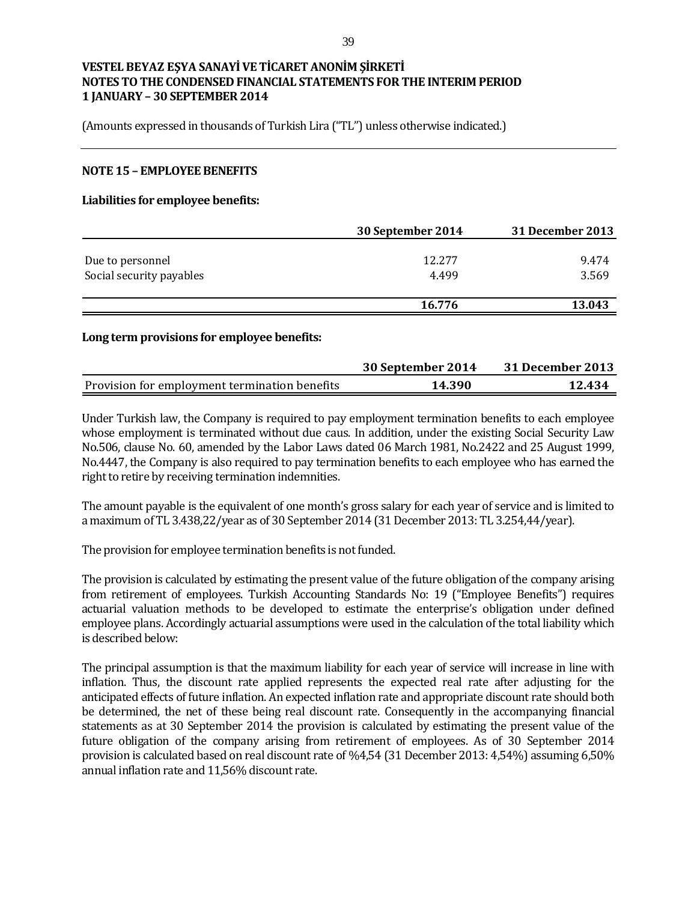(Amounts expressed in thousands of Turkish Lira ("TL") unless otherwise indicated.)

#### **NOTE 15 – EMPLOYEE BENEFITS**

#### **Liabilities for employee benefits:**

|                          | 30 September 2014 | 31 December 2013 |
|--------------------------|-------------------|------------------|
|                          |                   |                  |
| Due to personnel         | 12.277            | 9.474            |
| Social security payables | 4.499             | 3.569            |
|                          |                   |                  |
|                          | 16.776            | 13.043           |

#### **Long term provisions for employee benefits:**

|                                               | 30 September 2014 | 31 December 2013 |
|-----------------------------------------------|-------------------|------------------|
| Provision for employment termination benefits | 14.390            | 12.434           |

Under Turkish law, the Company is required to pay employment termination benefits to each employee whose employment is terminated without due caus. In addition, under the existing Social Security Law No.506, clause No. 60, amended by the Labor Laws dated 06 March 1981, No.2422 and 25 August 1999, No.4447, the Company is also required to pay termination benefits to each employee who has earned the right to retire by receiving termination indemnities.

The amount payable is the equivalent of one month's gross salary for each year of service and is limited to a maximum of TL 3.438,22/year as of 30 September 2014 (31 December 2013: TL 3.254,44/year).

The provision for employee termination benefits is not funded.

The provision is calculated by estimating the present value of the future obligation of the company arising from retirement of employees. Turkish Accounting Standards No: 19 ("Employee Benefits") requires actuarial valuation methods to be developed to estimate the enterprise's obligation under defined employee plans. Accordingly actuarial assumptions were used in the calculation of the total liability which is described below:

The principal assumption is that the maximum liability for each year of service will increase in line with inflation. Thus, the discount rate applied represents the expected real rate after adjusting for the anticipated effects of future inflation. An expected inflation rate and appropriate discount rate should both be determined, the net of these being real discount rate. Consequently in the accompanying financial statements as at 30 September 2014 the provision is calculated by estimating the present value of the future obligation of the company arising from retirement of employees. As of 30 September 2014 provision is calculated based on real discount rate of %4,54 (31 December 2013: 4,54%) assuming 6,50% annual inflation rate and 11,56% discount rate.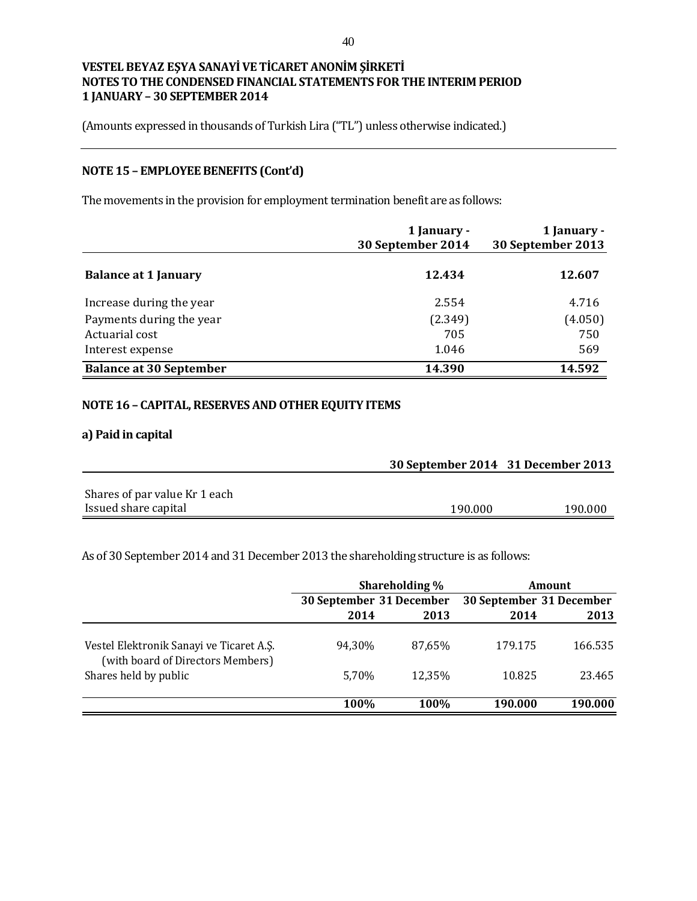(Amounts expressed in thousands of Turkish Lira ("TL") unless otherwise indicated.)

# **NOTE 15 – EMPLOYEE BENEFITS (Cont'd)**

The movements in the provision for employment termination benefit are as follows:

|                                | 1 January -<br>30 September 2014 | 1 January -<br>30 September 2013 |
|--------------------------------|----------------------------------|----------------------------------|
| <b>Balance at 1 January</b>    | 12.434                           | 12.607                           |
| Increase during the year       | 2.554                            | 4.716                            |
| Payments during the year       | (2.349)                          | (4.050)                          |
| Actuarial cost                 | 705                              | 750                              |
| Interest expense               | 1.046                            | 569                              |
| <b>Balance at 30 September</b> | 14.390                           | 14.592                           |

### **NOTE 16 – CAPITAL, RESERVES AND OTHER EQUITY ITEMS**

### **a) Paid in capital**

|                               | 30 September 2014 31 December 2013 |         |
|-------------------------------|------------------------------------|---------|
| Shares of par value Kr 1 each |                                    |         |
| Issued share capital          | 190.000                            | 190.000 |

As of 30 September 2014 and 31 December 2013 the shareholding structure is as follows:

|                                                                               |                          | Shareholding % |                          | <b>Amount</b> |
|-------------------------------------------------------------------------------|--------------------------|----------------|--------------------------|---------------|
|                                                                               | 30 September 31 December |                | 30 September 31 December |               |
|                                                                               | 2014                     | 2013           | 2014                     | 2013          |
| Vestel Elektronik Sanayi ve Ticaret A.Ş.<br>(with board of Directors Members) | 94.30%                   | 87.65%         | 179.175                  | 166.535       |
| Shares held by public                                                         | 5.70%                    | 12,35%         | 10.825                   | 23.465        |
|                                                                               | 100%                     | 100%           | 190.000                  | 190.000       |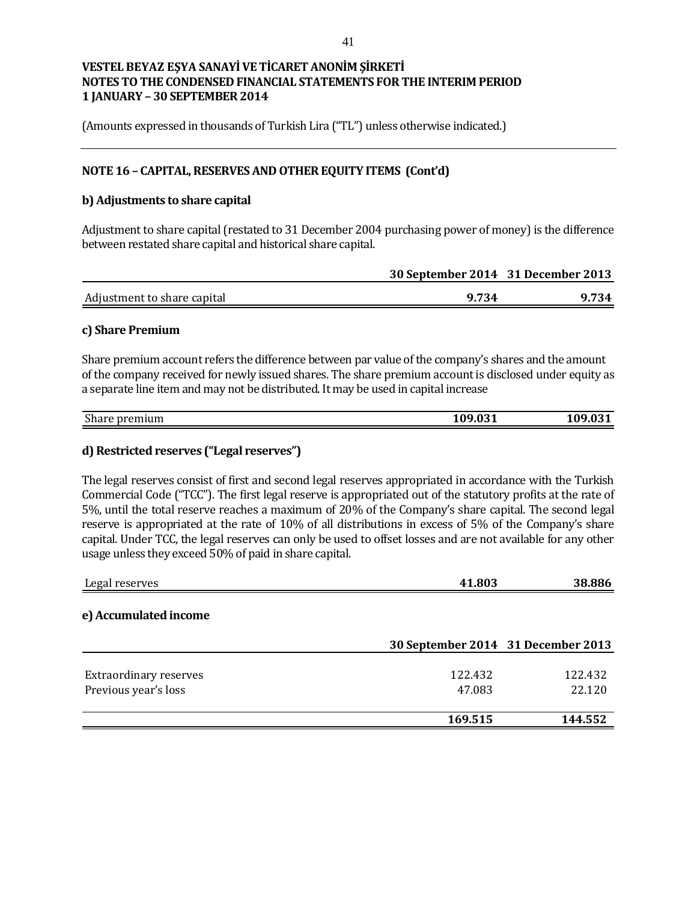(Amounts expressed in thousands of Turkish Lira ("TL") unless otherwise indicated.)

### **NOTE 16 – CAPITAL, RESERVES AND OTHER EQUITY ITEMS (Cont'd)**

#### **b) Adjustments to share capital**

Adjustment to share capital (restated to 31 December 2004 purchasing power of money) is the difference between restated share capital and historical share capital.

|                             | 30 September 2014 31 December 2013 |       |
|-----------------------------|------------------------------------|-------|
| Adjustment to share capital | 9.734                              | 9.734 |

#### **c) Share Premium**

Share premium account refers the difference between par value of the company's shares and the amount of the company received for newly issued shares. The share premium account is disclosed under equity as a separate line item and may not be distributed. It may be used in capital increase

| $\mathbf{a}$<br>ъ.<br>$- - - -$<br>emuum<br>Snar<br>1 I I<br>. .<br>____ | 0.04<br>_____ | _____ |
|--------------------------------------------------------------------------|---------------|-------|
|                                                                          |               |       |

### **d) Restricted reserves ("Legal reserves")**

The legal reserves consist of first and second legal reserves appropriated in accordance with the Turkish Commercial Code ("TCC"). The first legal reserve is appropriated out of the statutory profits at the rate of 5%, until the total reserve reaches a maximum of 20% of the Company's share capital. The second legal reserve is appropriated at the rate of 10% of all distributions in excess of 5% of the Company's share capital. Under TCC, the legal reserves can only be used to offset losses and are not available for any other usage unless they exceed 50% of paid in share capital.

| Legal reserves                | 41.803                             | 38.886  |
|-------------------------------|------------------------------------|---------|
| e) Accumulated income         |                                    |         |
|                               | 30 September 2014 31 December 2013 |         |
| <b>Extraordinary reserves</b> | 122.432                            | 122.432 |
| Previous year's loss          | 47.083                             | 22.120  |
|                               | 169.515                            | 144.552 |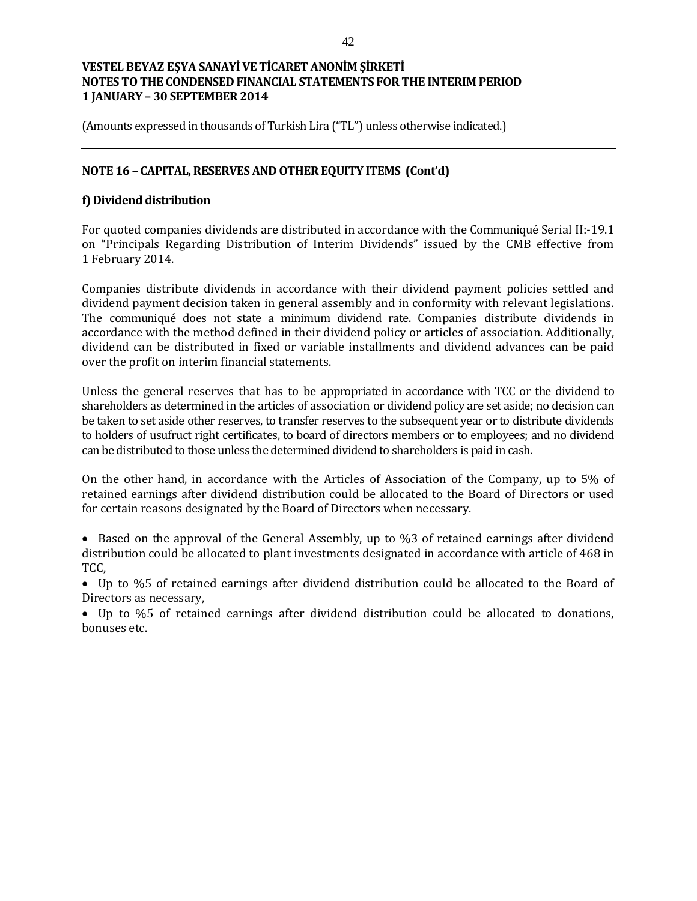(Amounts expressed in thousands of Turkish Lira ("TL") unless otherwise indicated.)

### **NOTE 16 – CAPITAL, RESERVES AND OTHER EQUITY ITEMS (Cont'd)**

### **f) Dividend distribution**

For quoted companies dividends are distributed in accordance with the Communiqué Serial II:-19.1 on "Principals Regarding Distribution of Interim Dividends" issued by the CMB effective from 1 February 2014.

Companies distribute dividends in accordance with their dividend payment policies settled and dividend payment decision taken in general assembly and in conformity with relevant legislations. The communiqué does not state a minimum dividend rate. Companies distribute dividends in accordance with the method defined in their dividend policy or articles of association. Additionally, dividend can be distributed in fixed or variable installments and dividend advances can be paid over the profit on interim financial statements.

Unless the general reserves that has to be appropriated in accordance with TCC or the dividend to shareholders as determined in the articles of association or dividend policy are set aside; no decision can be taken to set aside other reserves, to transfer reserves to the subsequent year or to distribute dividends to holders of usufruct right certificates, to board of directors members or to employees; and no dividend can be distributed to those unless the determined dividend to shareholders is paid in cash.

On the other hand, in accordance with the Articles of Association of the Company, up to 5% of retained earnings after dividend distribution could be allocated to the Board of Directors or used for certain reasons designated by the Board of Directors when necessary.

• Based on the approval of the General Assembly, up to %3 of retained earnings after dividend distribution could be allocated to plant investments designated in accordance with article of 468 in TCC,

 Up to %5 of retained earnings after dividend distribution could be allocated to the Board of Directors as necessary,

 Up to %5 of retained earnings after dividend distribution could be allocated to donations, bonuses etc.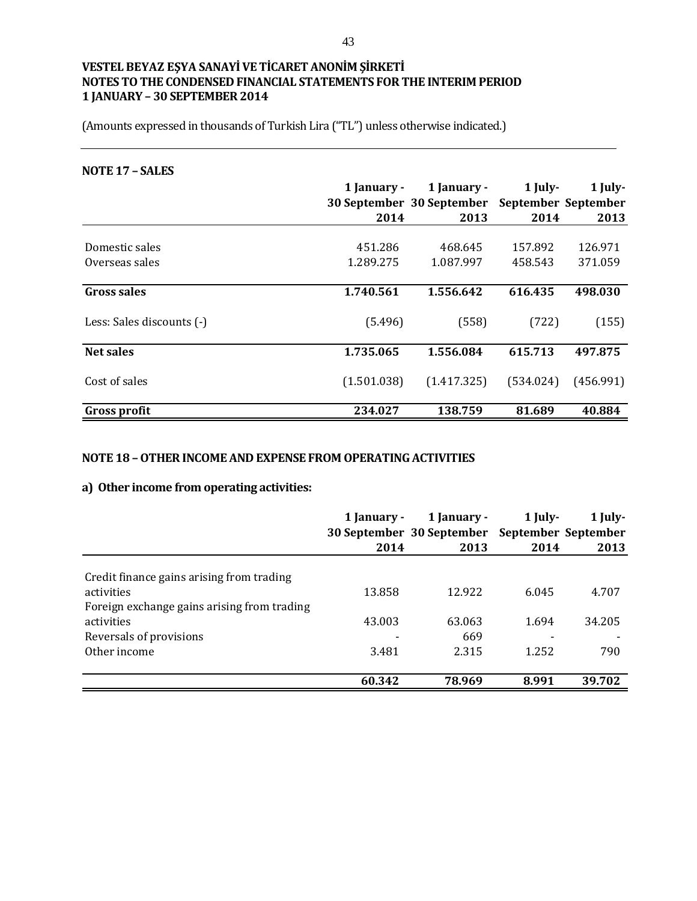(Amounts expressed in thousands of Turkish Lira ("TL") unless otherwise indicated.)

#### **NOTE 17 – SALES**

|                           | 1 January - | 1 January -               | $1$ July-           | 1 July-   |
|---------------------------|-------------|---------------------------|---------------------|-----------|
|                           |             | 30 September 30 September | September September |           |
|                           | 2014        | 2013                      | 2014                | 2013      |
|                           |             |                           |                     |           |
| Domestic sales            | 451.286     | 468.645                   | 157.892             | 126.971   |
| Overseas sales            | 1.289.275   | 1.087.997                 | 458.543             | 371.059   |
| <b>Gross sales</b>        | 1.740.561   | 1.556.642                 | 616.435             | 498.030   |
| Less: Sales discounts (-) | (5.496)     | (558)                     | (722)               | (155)     |
| Net sales                 | 1.735.065   | 1.556.084                 | 615.713             | 497.875   |
| Cost of sales             | (1.501.038) | (1.417.325)               | (534.024)           | (456.991) |
| <b>Gross profit</b>       | 234.027     | 138.759                   | 81.689              | 40.884    |

### **NOTE 18 –OTHER INCOME AND EXPENSE FROM OPERATING ACTIVITIES**

### **a) Other income from operating activities:**

|                                             | 1 January - | 1 January -<br>30 September 30 September September September | 1 July- | 1 July- |
|---------------------------------------------|-------------|--------------------------------------------------------------|---------|---------|
|                                             | 2014        | 2013                                                         | 2014    | 2013    |
| Credit finance gains arising from trading   |             |                                                              |         |         |
| activities                                  | 13.858      | 12.922                                                       | 6.045   | 4.707   |
| Foreign exchange gains arising from trading |             |                                                              |         |         |
| activities                                  | 43.003      | 63.063                                                       | 1.694   | 34.205  |
| Reversals of provisions                     |             | 669                                                          |         |         |
| Other income                                | 3.481       | 2.315                                                        | 1.252   | 790     |
|                                             | 60.342      | 78.969                                                       | 8.991   | 39.702  |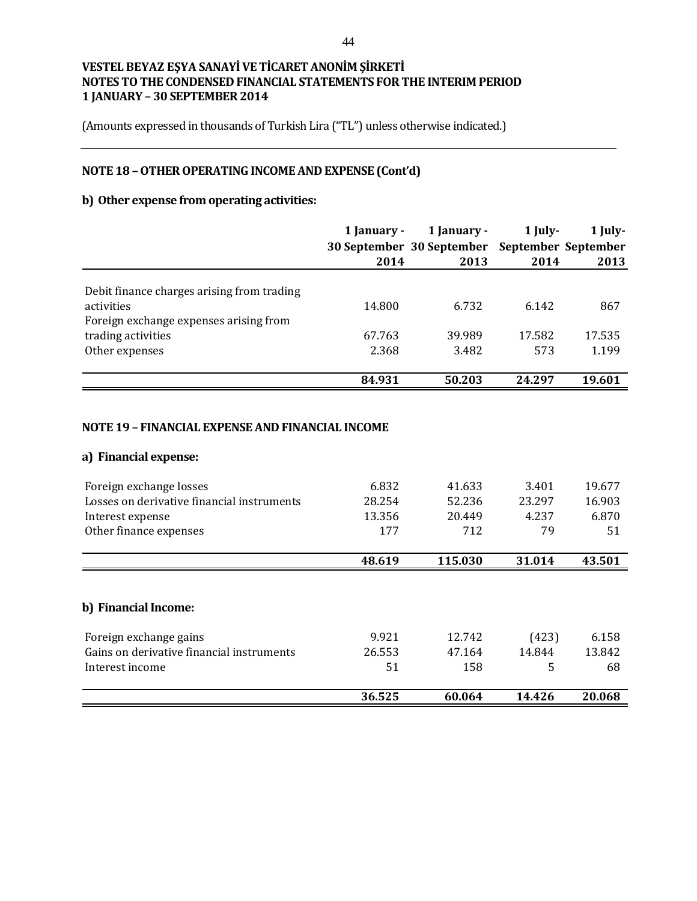(Amounts expressed in thousands of Turkish Lira ("TL") unless otherwise indicated.)

# **NOTE 18 –OTHER OPERATING INCOME AND EXPENSE (Cont'd)**

### **b) Other expense from operating activities:**

|                                            | 1 January - | 1 January -                                   | $1$ July- | 1 July- |
|--------------------------------------------|-------------|-----------------------------------------------|-----------|---------|
|                                            |             | 30 September 30 September September September |           |         |
|                                            | 2014        | 2013                                          | 2014      | 2013    |
|                                            |             |                                               |           |         |
| Debit finance charges arising from trading |             |                                               |           |         |
| activities                                 | 14.800      | 6.732                                         | 6.142     | 867     |
| Foreign exchange expenses arising from     |             |                                               |           |         |
| trading activities                         | 67.763      | 39.989                                        | 17.582    | 17.535  |
| Other expenses                             | 2.368       | 3.482                                         | 573       | 1.199   |
|                                            | 84.931      | 50.203                                        | 24.297    | 19.601  |

### **NOTE 19 – FINANCIAL EXPENSE AND FINANCIAL INCOME**

#### **a) Financial expense:**

| Foreign exchange losses                    | 6.832  | 41.633  | 3.401  | 19.677 |
|--------------------------------------------|--------|---------|--------|--------|
| Losses on derivative financial instruments | 28.254 | 52.236  | 23.297 | 16.903 |
| Interest expense                           | 13.356 | 20.449  | 4.237  | 6.870  |
| Other finance expenses                     | 177    | 712     | 79     | 51     |
|                                            | 48.619 | 115.030 | 31.014 | 43.501 |
| b) Financial Income:                       |        |         |        |        |
| Foreign exchange gains                     | 9.921  | 12.742  | (423)  | 6.158  |
| Gains on derivative financial instruments  | 26.553 | 47.164  | 14.844 | 13.842 |
| Interest income                            | 51     | 158     | 5      | 68     |
|                                            | 36.525 | 60.064  | 14.426 | 20.068 |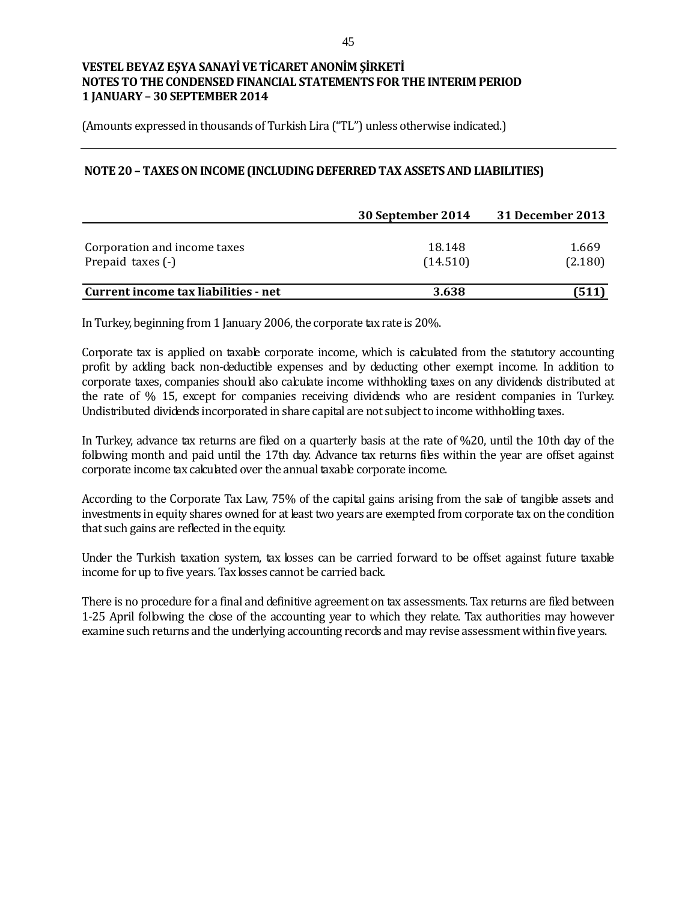(Amounts expressed in thousands of Turkish Lira ("TL") unless otherwise indicated.)

### **NOTE 20 –TAXES ON INCOME (INCLUDING DEFERRED TAX ASSETS AND LIABILITIES)**

|                                      | 30 September 2014 | 31 December 2013 |
|--------------------------------------|-------------------|------------------|
|                                      |                   |                  |
| Corporation and income taxes         | 18.148            | 1.669            |
| Prepaid taxes (-)                    | (14.510)          | (2.180)          |
|                                      |                   |                  |
| Current income tax liabilities - net | 3.638             | (511)            |

In Turkey, beginning from 1 January 2006, the corporate tax rate is 20%.

Corporate tax is applied on taxable corporate income, which is calculated from the statutory accounting profit by adding back non-deductible expenses and by deducting other exempt income. In addition to corporate taxes, companies should also calculate income withholding taxes on any dividends distributed at the rate of % 15, except for companies receiving dividends who are resident companies in Turkey. Undistributed dividends incorporated in share capital are not subject to income withholding taxes.

In Turkey, advance tax returns are filed on a quarterly basis at the rate of %20, until the 10th day of the following month and paid until the 17th day. Advance tax returns files within the year are offset against corporate income tax calculated over the annual taxable corporate income.

According to the Corporate Tax Law, 75% of the capital gains arising from the sale of tangible assets and investments in equity shares owned for at least two years are exempted from corporate tax on the condition that such gains are reflected in the equity.

Under the Turkish taxation system, tax losses can be carried forward to be offset against future taxable income for up to five years. Tax losses cannot be carried back.

There is no procedure for a final and definitive agreement on tax assessments. Tax returns are filed between 1-25 April following the close of the accounting year to which they relate. Tax authorities may however examine such returns and the underlying accounting records and may revise assessment within five years.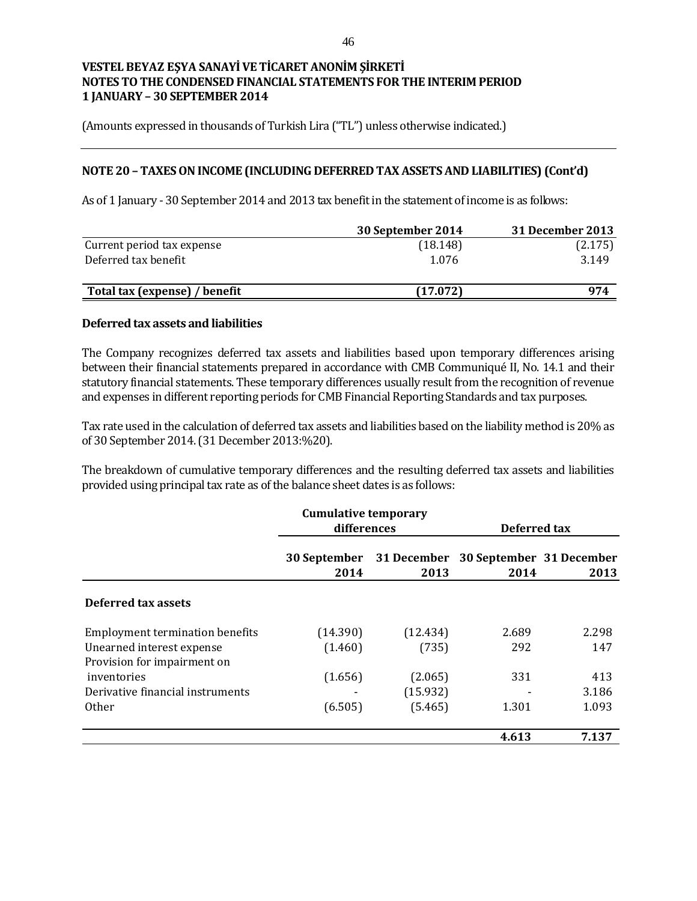(Amounts expressed in thousands of Turkish Lira ("TL") unless otherwise indicated.)

#### **NOTE 20 – TAXES ON INCOME (INCLUDING DEFERRED TAX ASSETS AND LIABILITIES) (Cont'd)**

As of 1 January - 30 September 2014 and 2013 tax benefit in the statement of income is as follows:

|                               | 30 September 2014 | 31 December 2013 |
|-------------------------------|-------------------|------------------|
| Current period tax expense    | (18.148)          | (2.175)          |
| Deferred tax benefit          | 1.076             | 3.149            |
| Total tax (expense) / benefit | (17.072)          | 974              |

#### **Deferred tax assets and liabilities**

The Company recognizes deferred tax assets and liabilities based upon temporary differences arising between their financial statements prepared in accordance with CMB Communiqué II, No. 14.1 and their statutory financial statements. These temporary differences usually result from the recognition of revenue and expenses in different reporting periods for CMB Financial Reporting Standards and tax purposes.

Tax rate used in the calculation of deferred tax assets and liabilities based on the liability method is 20% as of 30 September 2014. (31 December 2013:%20).

The breakdown of cumulative temporary differences and the resulting deferred tax assets and liabilities provided using principal tax rate as of the balance sheet dates is as follows:

|                                                          | <b>Cumulative temporary</b> |                     |                                  |              |  |
|----------------------------------------------------------|-----------------------------|---------------------|----------------------------------|--------------|--|
|                                                          | differences                 |                     |                                  | Deferred tax |  |
|                                                          | 30 September<br>2014        | 31 December<br>2013 | 30 September 31 December<br>2014 | 2013         |  |
| Deferred tax assets                                      |                             |                     |                                  |              |  |
| <b>Employment termination benefits</b>                   | (14.390)                    | (12.434)            | 2.689                            | 2.298        |  |
| Unearned interest expense<br>Provision for impairment on | (1.460)                     | (735)               | 292                              | 147          |  |
| inventories                                              | (1.656)                     | (2.065)             | 331                              | 413          |  |
| Derivative financial instruments                         |                             | (15.932)            |                                  | 3.186        |  |
| <b>Other</b>                                             | (6.505)                     | (5.465)             | 1.301                            | 1.093        |  |
|                                                          |                             |                     | 4.613                            | 7.137        |  |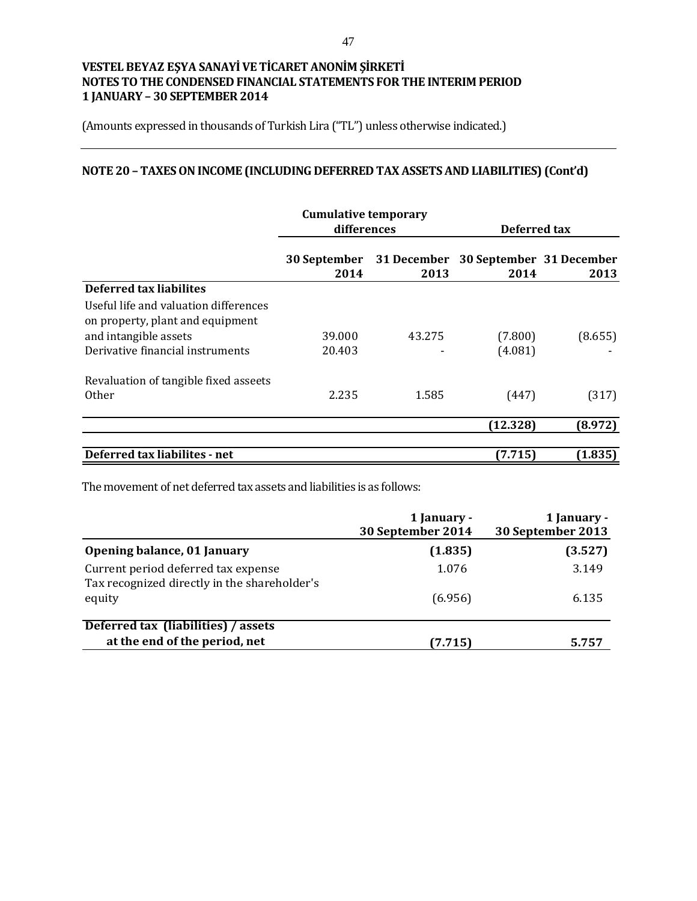(Amounts expressed in thousands of Turkish Lira ("TL") unless otherwise indicated.)

# **NOTE 20 – TAXES ON INCOME (INCLUDING DEFERRED TAX ASSETS AND LIABILITIES) (Cont'd)**

|                                       | <b>Cumulative temporary</b> |        |                                      |         |
|---------------------------------------|-----------------------------|--------|--------------------------------------|---------|
|                                       | differences                 |        | Deferred tax                         |         |
|                                       | <b>30 September</b>         |        | 31 December 30 September 31 December |         |
|                                       | 2014                        | 2013   | 2014                                 | 2013    |
| <b>Deferred tax liabilites</b>        |                             |        |                                      |         |
| Useful life and valuation differences |                             |        |                                      |         |
| on property, plant and equipment      |                             |        |                                      |         |
| and intangible assets                 | 39.000                      | 43.275 | (7.800)                              | (8.655) |
| Derivative financial instruments      | 20.403                      |        | (4.081)                              |         |
| Revaluation of tangible fixed asseets |                             |        |                                      |         |
| Other                                 | 2.235                       | 1.585  | (447)                                | (317)   |
|                                       |                             |        | (12.328)                             | (8.972) |
|                                       |                             |        |                                      |         |
| Deferred tax liabilites - net         |                             |        | (7.715)                              | (1.835) |

The movement of net deferred tax assets and liabilities is as follows:

|                                                                                     | 1 January -<br>30 September 2014 | 1 January -<br>30 September 2013 |
|-------------------------------------------------------------------------------------|----------------------------------|----------------------------------|
| Opening balance, 01 January                                                         | (1.835)                          | (3.527)                          |
| Current period deferred tax expense<br>Tax recognized directly in the shareholder's | 1.076                            | 3.149                            |
| equity                                                                              | (6.956)                          | 6.135                            |
| Deferred tax (liabilities) / assets                                                 |                                  |                                  |
| at the end of the period, net                                                       | (7.715)                          | 5.757                            |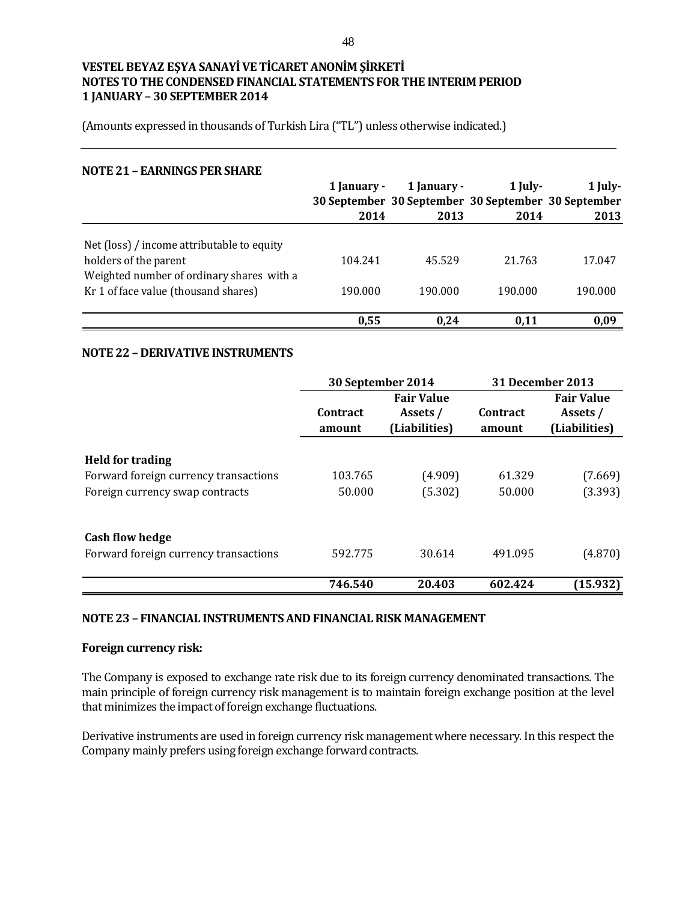(Amounts expressed in thousands of Turkish Lira ("TL") unless otherwise indicated.)

#### **NOTE 21 – EARNINGS PER SHARE**

|                                            | 1 January -<br>2014 | 1 January -<br>30 September 30 September 30 September 30 September<br>2013 | $1$ July-<br>2014 | 1 July-<br>2013 |
|--------------------------------------------|---------------------|----------------------------------------------------------------------------|-------------------|-----------------|
|                                            |                     |                                                                            |                   |                 |
| Net (loss) / income attributable to equity |                     |                                                                            |                   |                 |
| holders of the parent                      | 104.241             | 45.529                                                                     | 21.763            | 17.047          |
| Weighted number of ordinary shares with a  |                     |                                                                            |                   |                 |
| Kr 1 of face value (thousand shares)       | 190.000             | 190.000                                                                    | 190.000           | 190.000         |
|                                            |                     |                                                                            |                   |                 |
|                                            | 0,55                | 0.24                                                                       | 0.11              | 0,09            |

#### **NOTE 22 – DERIVATIVE INSTRUMENTS**

|                                       | 30 September 2014         |                                                | 31 December 2013          |                                                |
|---------------------------------------|---------------------------|------------------------------------------------|---------------------------|------------------------------------------------|
|                                       | <b>Contract</b><br>amount | <b>Fair Value</b><br>Assets /<br>(Liabilities) | <b>Contract</b><br>amount | <b>Fair Value</b><br>Assets /<br>(Liabilities) |
| <b>Held for trading</b>               |                           |                                                |                           |                                                |
| Forward foreign currency transactions | 103.765                   | (4.909)                                        | 61.329                    | (7.669)                                        |
| Foreign currency swap contracts       | 50.000                    | (5.302)                                        | 50.000                    | (3.393)                                        |
| <b>Cash flow hedge</b>                |                           |                                                |                           |                                                |
| Forward foreign currency transactions | 592.775                   | 30.614                                         | 491.095                   | (4.870)                                        |
|                                       | 746.540                   | 20.403                                         | 602.424                   | (15.932)                                       |

#### **NOTE 23 – FINANCIAL INSTRUMENTS AND FINANCIAL RISK MANAGEMENT**

#### **Foreign currency risk:**

The Company is exposed to exchange rate risk due to its foreign currency denominated transactions. The main principle of foreign currency risk management is to maintain foreign exchange position at the level that minimizes the impact of foreign exchange fluctuations.

Derivative instruments are used in foreign currency risk management where necessary. In this respect the Company mainly prefers using foreign exchange forward contracts.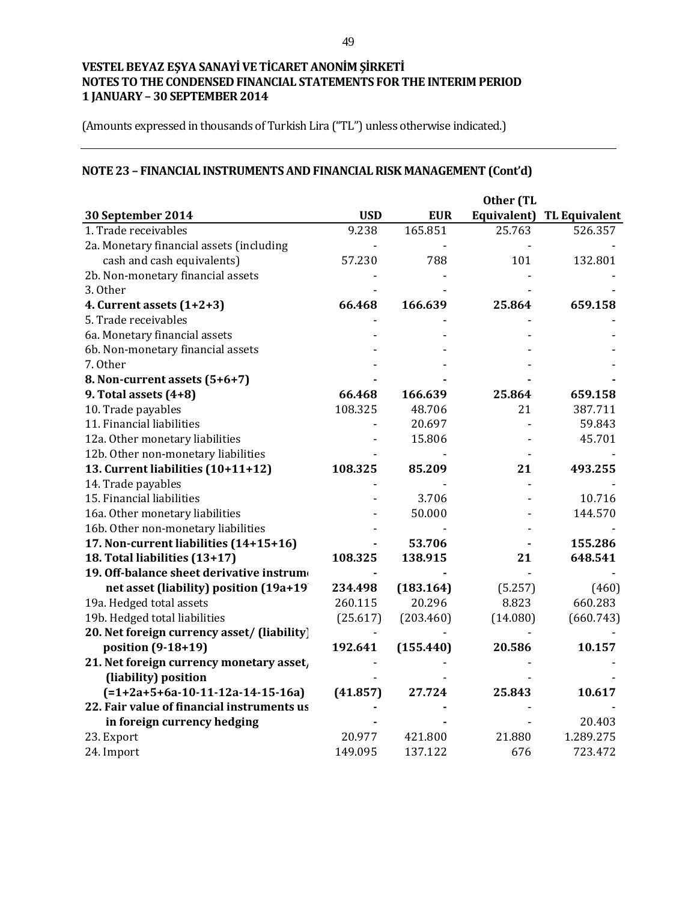(Amounts expressed in thousands of Turkish Lira ("TL") unless otherwise indicated.)

# **NOTE 23 – FINANCIAL INSTRUMENTS AND FINANCIAL RISK MANAGEMENT (Cont'd)**

| 30 September 2014                           | <b>USD</b> | <b>EUR</b> | Equivalent) | <b>TL Equivalent</b> |
|---------------------------------------------|------------|------------|-------------|----------------------|
| 1. Trade receivables                        | 9.238      | 165.851    | 25.763      | 526.357              |
| 2a. Monetary financial assets (including    |            |            |             |                      |
| cash and cash equivalents)                  | 57.230     | 788        | 101         | 132.801              |
| 2b. Non-monetary financial assets           |            |            |             |                      |
| 3. Other                                    |            |            |             |                      |
| 4. Current assets $(1+2+3)$                 | 66.468     | 166.639    | 25.864      | 659.158              |
| 5. Trade receivables                        |            |            |             |                      |
| 6a. Monetary financial assets               |            |            |             |                      |
| 6b. Non-monetary financial assets           |            |            |             |                      |
| 7. Other                                    |            |            |             |                      |
| 8. Non-current assets (5+6+7)               |            |            |             |                      |
| 9. Total assets (4+8)                       | 66.468     | 166.639    | 25.864      | 659.158              |
| 10. Trade payables                          | 108.325    | 48.706     | 21          | 387.711              |
| 11. Financial liabilities                   |            | 20.697     |             | 59.843               |
| 12a. Other monetary liabilities             |            | 15.806     |             | 45.701               |
| 12b. Other non-monetary liabilities         |            |            |             |                      |
| 13. Current liabilities (10+11+12)          | 108.325    | 85.209     | 21          | 493.255              |
| 14. Trade payables                          |            |            |             |                      |
| 15. Financial liabilities                   |            | 3.706      |             | 10.716               |
| 16a. Other monetary liabilities             |            | 50.000     |             | 144.570              |
| 16b. Other non-monetary liabilities         |            |            |             |                      |
| 17. Non-current liabilities (14+15+16)      |            | 53.706     |             | 155.286              |
| 18. Total liabilities (13+17)               | 108.325    | 138.915    | 21          | 648.541              |
| 19. Off-balance sheet derivative instrum    |            |            |             |                      |
| net asset (liability) position (19a+19)     | 234.498    | (183.164)  | (5.257)     | (460)                |
| 19a. Hedged total assets                    | 260.115    | 20.296     | 8.823       | 660.283              |
| 19b. Hedged total liabilities               | (25.617)   | (203.460)  | (14.080)    | (660.743)            |
| 20. Net foreign currency asset/ (liability) |            |            |             |                      |
| position (9-18+19)                          | 192.641    | (155.440)  | 20.586      | 10.157               |
| 21. Net foreign currency monetary asset,    |            |            |             |                      |
| (liability) position                        |            |            |             |                      |
| $(=1+2a+5+6a-10-11-12a-14-15-16a)$          | (41.857)   | 27.724     | 25.843      | 10.617               |
| 22. Fair value of financial instruments us  |            |            |             |                      |
| in foreign currency hedging                 |            |            |             | 20.403               |
| 23. Export                                  | 20.977     | 421.800    | 21.880      | 1.289.275            |
| 24. Import                                  | 149.095    | 137.122    | 676         | 723.472              |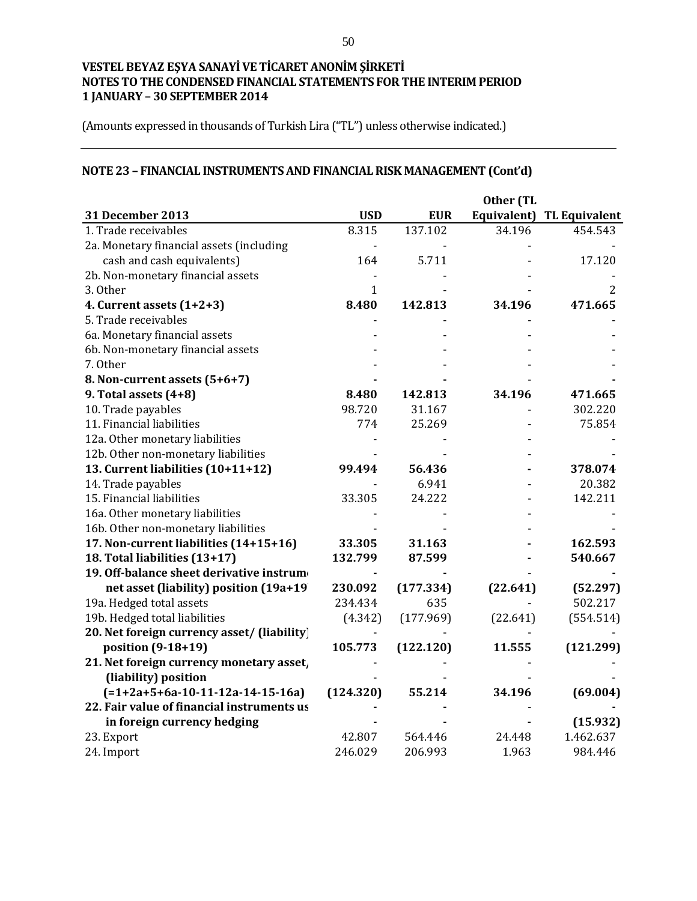(Amounts expressed in thousands of Turkish Lira ("TL") unless otherwise indicated.)

# **NOTE 23 – FINANCIAL INSTRUMENTS AND FINANCIAL RISK MANAGEMENT (Cont'd)**

| 31 December 2013                            | <b>USD</b>   | <b>EUR</b> |          | Equivalent) TL Equivalent |
|---------------------------------------------|--------------|------------|----------|---------------------------|
| 1. Trade receivables                        | 8.315        | 137.102    | 34.196   | 454.543                   |
| 2a. Monetary financial assets (including    |              |            |          |                           |
| cash and cash equivalents)                  | 164          | 5.711      |          | 17.120                    |
| 2b. Non-monetary financial assets           |              |            |          |                           |
| 3. Other                                    | $\mathbf{1}$ |            |          | 2                         |
| 4. Current assets $(1+2+3)$                 | 8.480        | 142.813    | 34.196   | 471.665                   |
| 5. Trade receivables                        |              |            |          |                           |
| 6a. Monetary financial assets               |              |            |          |                           |
| 6b. Non-monetary financial assets           |              |            |          |                           |
| 7. Other                                    |              |            |          |                           |
| 8. Non-current assets (5+6+7)               |              |            |          |                           |
| 9. Total assets $(4+8)$                     | 8.480        | 142.813    | 34.196   | 471.665                   |
| 10. Trade payables                          | 98.720       | 31.167     |          | 302.220                   |
| 11. Financial liabilities                   | 774          | 25.269     |          | 75.854                    |
| 12a. Other monetary liabilities             |              |            |          |                           |
| 12b. Other non-monetary liabilities         |              |            |          |                           |
| 13. Current liabilities (10+11+12)          | 99.494       | 56.436     |          | 378.074                   |
| 14. Trade payables                          |              | 6.941      |          | 20.382                    |
| 15. Financial liabilities                   | 33.305       | 24.222     |          | 142.211                   |
| 16a. Other monetary liabilities             |              |            |          |                           |
| 16b. Other non-monetary liabilities         |              |            |          |                           |
| 17. Non-current liabilities (14+15+16)      | 33.305       | 31.163     |          | 162.593                   |
| 18. Total liabilities (13+17)               | 132.799      | 87.599     |          | 540.667                   |
| 19. Off-balance sheet derivative instrum    |              |            |          |                           |
| net asset (liability) position (19a+19)     | 230.092      | (177.334)  | (22.641) | (52.297)                  |
| 19a. Hedged total assets                    | 234.434      | 635        |          | 502.217                   |
| 19b. Hedged total liabilities               | (4.342)      | (177.969)  | (22.641) | (554.514)                 |
| 20. Net foreign currency asset/ (liability) |              |            |          |                           |
| position (9-18+19)                          | 105.773      | (122.120)  | 11.555   | (121.299)                 |
| 21. Net foreign currency monetary asset,    |              |            |          |                           |
| (liability) position                        |              |            |          |                           |
| $[-1+2a+5+6a-10-11-12a-14-15-16a]$          | (124.320)    | 55.214     | 34.196   | (69.004)                  |
| 22. Fair value of financial instruments us  |              |            |          |                           |
| in foreign currency hedging                 |              |            |          | (15.932)                  |
| 23. Export                                  | 42.807       | 564.446    | 24.448   | 1.462.637                 |
| 24. Import                                  | 246.029      | 206.993    | 1.963    | 984.446                   |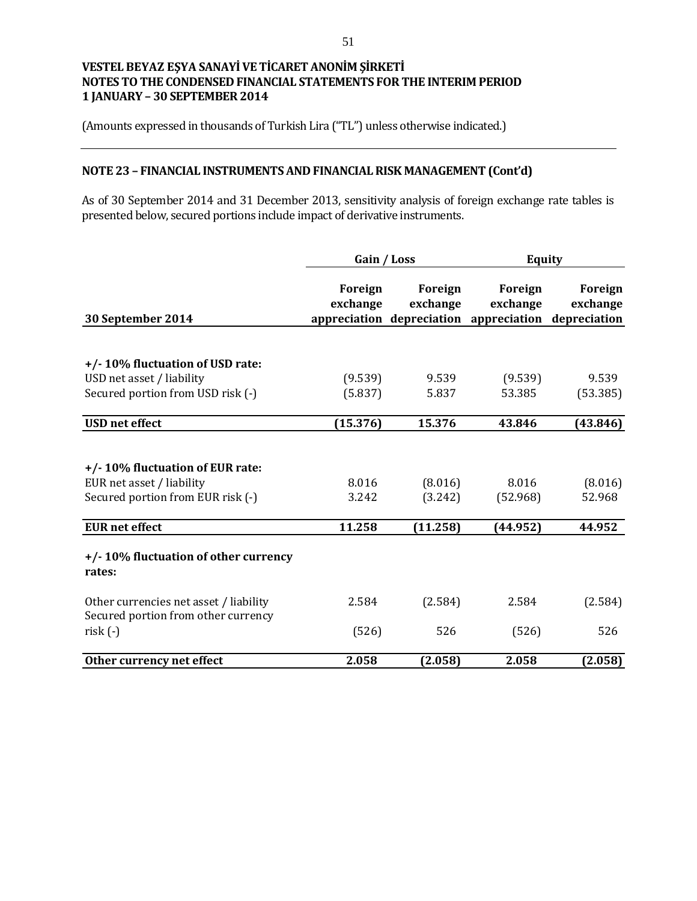(Amounts expressed in thousands of Turkish Lira ("TL") unless otherwise indicated.)

### **NOTE 23 – FINANCIAL INSTRUMENTS AND FINANCIAL RISK MANAGEMENT (Cont'd)**

As of 30 September 2014 and 31 December 2013, sensitivity analysis of foreign exchange rate tables is presented below, secured portions include impact of derivative instruments.

|                                                                                                   | Gain / Loss         |                     | <b>Equity</b>                                                              |                     |
|---------------------------------------------------------------------------------------------------|---------------------|---------------------|----------------------------------------------------------------------------|---------------------|
| 30 September 2014                                                                                 | Foreign<br>exchange | Foreign<br>exchange | Foreign<br>exchange<br>appreciation depreciation appreciation depreciation | Foreign<br>exchange |
|                                                                                                   |                     |                     |                                                                            |                     |
| +/-10% fluctuation of USD rate:                                                                   |                     |                     |                                                                            |                     |
| USD net asset / liability                                                                         | (9.539)             | 9.539               | (9.539)                                                                    | 9.539               |
| Secured portion from USD risk (-)                                                                 | (5.837)             | 5.837               | 53.385                                                                     | (53.385)            |
|                                                                                                   |                     |                     |                                                                            |                     |
| <b>USD</b> net effect                                                                             | (15.376)            | 15.376              | 43.846                                                                     | (43.846)            |
| +/-10% fluctuation of EUR rate:<br>EUR net asset / liability<br>Secured portion from EUR risk (-) | 8.016<br>3.242      | (8.016)<br>(3.242)  | 8.016<br>(52.968)                                                          | (8.016)<br>52.968   |
| <b>EUR</b> net effect                                                                             | 11.258              | (11.258)            | (44.952)                                                                   | 44.952              |
| +/-10% fluctuation of other currency<br>rates:                                                    |                     |                     |                                                                            |                     |
| Other currencies net asset / liability<br>Secured portion from other currency                     | 2.584               | (2.584)             | 2.584                                                                      | (2.584)             |
| $risk(-)$                                                                                         | (526)               | 526                 | (526)                                                                      | 526                 |
| Other currency net effect                                                                         | 2.058               | (2.058)             | 2.058                                                                      | (2.058)             |